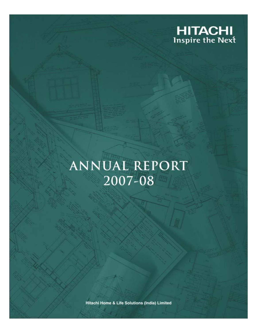

# **ANNUAL REPORT** 2007-08

Hitachi Home & Life Solutions (India) Limited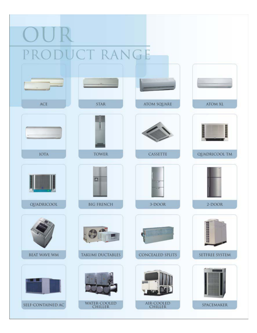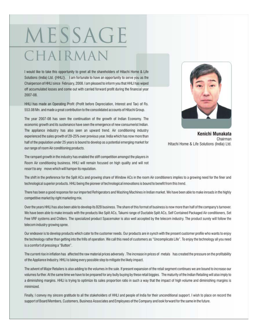# MESSAGE CHAIRMAN

I would like to take this opportunity to greet all the shareholders of Hitachi Home & Life Solutions (India) Ltd. {HHLI}. I am fortunate to have an opportunity to serve you as the Chairperson of HHLI since February, 2008. I am pleased to inform you that HHLI has wiped off accumulated losses and come out with carried forward profit during the financial year 2007-08

HHLI has made an Operating Profit (Profit before Depreciation, Interest and Tax) of Rs. 553.08 Mn. and made a great contribution to the consolidated accounts of Hitachi Group.

The year 2007-08 has seen the continuation of the growth of Indian Economy. The economic growth and its sustenance have seen the emergence of new consumerist Indian. The appliance industry has also seen an upward trend. Air conditioning industry experienced the sales growth of 20-25% over previous year. India which has now more than half of the population under 25 years is bound to develop as a potential emerging market for our range of room Air conditioning products.



Kenichi Munakata Chairman Hitachi Home & Life Solutions (India) Ltd.

The rampant growth in the industry has enabled the stiff competition amongst the players in Room Air conditioning business. HHLI will remain focused on high quality and will not resort to any move which will hamper its reputation.

The shift in the preference for the Split ACs and growing share of Window ACs in the room Air conditioners implies to a growing need for the finer and technological superior products. HHLI being the pioneer of technological innovations is bound to benefit from this trend.

There has been a good response for our imported Refrigerators and Washing Machines in Indian market. We have been able to make inroads in the highly competitive market by right marketing mix.

Over the years HHLI has also been able to develop its B2B business. The share of this format of business is now more than half of the company's turnover. We have been able to make inroads with the products like Split ACs, Takumi range of Ductable Split ACs, Self Contained Packaged Air conditioners, Set Free VRF systems and Chillers. The specialized product Spacemaker is also well accepted by the telecom industry. The product surely will follow the telecom industry growing spree.

Our endeavor is to develop products which cater to the customer needs. Our products are in synch with the present customer profile who wants to enjoy the technology rather than getting into the frills of operation. We call this need of customers as "Uncomplicate Life". To enjoy the technology all you need is a comfort of pressing a "Button".

The current rise in inflation has affected the raw material prices adversely. The increase in prices of metals has created the pressure on the profitability of the Appliance Industry. HHLI is taking every possible step to mitigate the likely impact.

The advent of Major Retailers is also adding to the volumes in the sale. If present expansion of the retail segment continues we are bound to increase our volumes further. At the same time we have to be prepared for any bully buying by these retail biggies. The maturity of the Indian Retailing will also imply to a diminishing margins. HHLI is trying to optimize its sales proportion ratio in such a way that the impact of high volume and diminishing margins is minimized.

Finally, I convey my sincere gratitude to all the stakeholders of HHLI and people of India for their unconditional support. I wish to place on record the support of Board Members, Customers, Business Associates and Employees of the Company and look forward for the same in the future.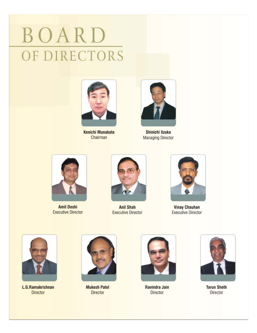# BOARD OF DIRECTORS



Kenichi Munakata Chairman



Shinichi lizuka **Managing Director** 



**Amit Doshi Executive Director** 



**Anil Shah Executive Director** 



**Vinay Chauhan Executive Director** 



L.G.Ramakrishnan **Director** 



**Mukesh Patel Director** 



Ravindra Jain **Director** 



**Tarun Sheth** Director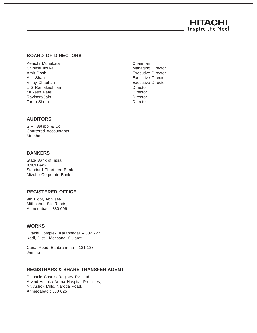# **HITACHI** Inspire the Next

# **BOARD OF DIRECTORS**

Kenichi Munakata **Chairman** Shinichi Iizuka Managing Director Amit Doshi Executive Director Anil Shah Executive Director Vinay Chauhan **Executive Director** Executive Director L G Ramakrishnan **Director** Director Mukesh Patel **Director** Director Ravindra Jain **Director** Tarun Sheth Director

# **AUDITORS**

S.R. Batliboi & Co. Chartered Accountants, Mumbai

# **BANKERS**

State Bank of India ICICI Bank Standard Chartered Bank Mizuho Corporate Bank

# **REGISTERED OFFICE**

9th Floor, Abhijeet-I, Mithakhali Six Roads, Ahmedabad - 380 006

# **WORKS**

Hitachi Complex, Karannagar – 382 727, Kadi, Dist : Mehsana, Gujarat

Canal Road, Baribrahmna – 181 133, Jammu

# **REGISTRARS & SHARE TRANSFER AGENT**

Pinnacle Shares Registry Pvt. Ltd. Arvind Ashoka Aruna Hospital Premises, Nr. Ashok Mills, Naroda Road, Ahmedabad : 380 025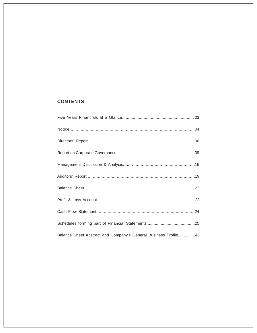# **CONTENTS**

| Balance Sheet Abstract and Company's General Business Profile43 |
|-----------------------------------------------------------------|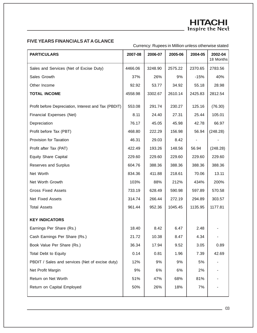# **FIVE YEARS FINANCIALS AT A GLANCE**

# Currency: Rupees in Million unless otherwise stated

| <b>PARTICULARS</b>                                   | 2007-08 | 2006-07 | 2005-06 | 2004-05 | 2002-04<br>18 Months |
|------------------------------------------------------|---------|---------|---------|---------|----------------------|
| Sales and Services (Net of Excise Duty)              | 4466.06 | 3248.90 | 2575.22 | 2370.65 | 2783.56              |
| Sales Growth                                         | 37%     | 26%     | 9%      | $-15%$  | 40%                  |
| Other Income                                         | 92.92   | 53.77   | 34.92   | 55.18   | 28.98                |
| <b>TOTAL INCOME</b>                                  | 4558.98 | 3302.67 | 2610.14 | 2425.83 | 2812.54              |
| Profit before Depreciation, Interest and Tax (PBDIT) | 553.08  | 291.74  | 230.27  | 125.16  | (76.30)              |
| Financial Expenses (Net)                             | 8.11    | 24.40   | 27.31   | 25.44   | 105.01               |
| Depreciation                                         | 76.17   | 45.05   | 45.98   | 42.78   | 66.97                |
| Profit before Tax (PBT)                              | 468.80  | 222.29  | 156.98  | 56.94   | (248.28)             |
| Provision for Taxation                               | 46.31   | 29.03   | 8.42    |         |                      |
| Profit after Tax (PAT)                               | 422.49  | 193.26  | 148.56  | 56.94   | (248.28)             |
| <b>Equity Share Capital</b>                          | 229.60  | 229.60  | 229.60  | 229.60  | 229.60               |
| Reserves and Surplus                                 | 604.76  | 388.36  | 388.36  | 388.36  | 388.36               |
| Net Worth                                            | 834.36  | 411.88  | 218.61  | 70.06   | 13.11                |
| Net Worth Growth                                     | 103%    | 88%     | 212%    | 434%    | 200%                 |
| <b>Gross Fixed Assets</b>                            | 733.19  | 628.49  | 590.98  | 597.89  | 570.58               |
| <b>Net Fixed Assets</b>                              | 314.74  | 266.44  | 272.19  | 294.89  | 303.57               |
| <b>Total Assets</b>                                  | 961.44  | 952.36  | 1045.45 | 1135.95 | 1177.81              |
| <b>KEY INDICATORS</b>                                |         |         |         |         |                      |
| Earnings Per Share (Rs.)                             | 18.40   | 8.42    | 6.47    | 2.48    |                      |
| Cash Earnings Per Share (Rs.)                        | 21.72   | 10.38   | 8.47    | 4.34    |                      |
| Book Value Per Share (Rs.)                           | 36.34   | 17.94   | 9.52    | 3.05    | 0.89                 |
| <b>Total Debt to Equity</b>                          | 0.14    | 0.81    | 1.96    | 7.39    | 42.69                |
| PBDIT / Sales and services (Net of excise duty)      | 12%     | 9%      | 9%      | 5%      |                      |
| Net Profit Margin                                    | 9%      | 6%      | 6%      | 2%      |                      |
| Return on Net Worth                                  | 51%     | 47%     | 68%     | 81%     |                      |
| Return on Capital Employed                           | 50%     | 26%     | 18%     | 7%      |                      |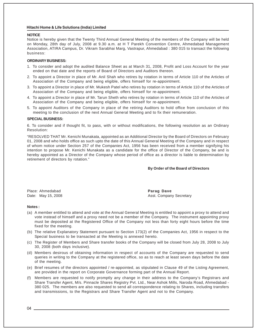#### **NOTICE**

Notice is hereby given that the Twenty Third Annual General Meeting of the members of the Company will be held on Monday, 28th day of July, 2008 at 9.30 a.m. at H T Parekh Convention Centre, Ahmedabad Management Association, ATIRA Campus, Dr. Vikram Sarabhai Marg, Vastrapur, Ahmedabad : 380 015 to transact the following business:

#### **ORDINARY BUSINESS:**

- 1. To consider and adopt the audited Balance Sheet as at March 31, 2008, Profit and Loss Account for the year ended on that date and the reports of Board of Directors and Auditors thereon.
- 2. To appoint a Director in place of Mr. Anil Shah who retires by rotation in terms of Article 110 of the Articles of Association of the Company and being eligible, offers himself for re-appointment.
- 3. To appoint a Director in place of Mr. Mukesh Patel who retires by rotation in terms of Article 110 of the Articles of Association of the Company and being eligible, offers himself for re-appointment.
- 4. To appoint a Director in place of Mr. Tarun Sheth who retires by rotation in terms of Article 110 of the Articles of Association of the Company and being eligible, offers himself for re-appointment.
- 5. To appoint Auditors of the Company in place of the retiring Auditors to hold office from conclusion of this meeting to the conclusion of the next Annual General Meeting and to fix their remuneration.

#### **SPECIAL BUSINESS:**

6. To consider and if thought fit, to pass, with or without modifications, the following resolution as an Ordinary Resolution:

"RESOLVED THAT Mr. Kenichi Munakata, appointed as an Additional Director by the Board of Directors on February 01, 2008 and who holds office as such upto the date of this Annual General Meeting of the Company and in respect of whom notice under Section 257 of the Companies Act, 1956 has been received from a member signifying his intention to propose Mr. Kenichi Munakata as a candidate for the office of Director of the Company, be and is hereby appointed as a Director of the Company whose period of office as a director is liable to determination by retirement of directors by rotation."

#### **By Order of the Board of Directors**

Place: Ahmedabad **Parag Dave**

Date: May 15, 2008 **Asst. Company Secretary** 

#### **Notes :**

- (a) A member entitled to attend and vote at the Annual General Meeting is entitled to appoint a proxy to attend and vote instead of himself and a proxy need not be a member of the Company. The instrument appointing proxy must be deposited at the Registered Office of the Company not less than forty eight hours before the time fixed for the meeting.
- (b) The relative Explanatory Statement pursuant to Section 173(2) of the Companies Act, 1956 in respect to the Special business to be transacted at the Meeting is annexed hereto.
- (c) The Register of Members and Share transfer books of the Company will be closed from July 28, 2008 to July 30, 2008 (both days inclusive).
- (d) Members desirous of obtaining information in respect of accounts of the Company are requested to send queries in writing to the Company at the registered office, so as to reach at least seven days before the date of the meeting.
- (e) Brief resumes of the directors appointed / re-appointed, as stipulated in Clause 49 of the Listing Agreement, are provided in the report on Corporate Governance forming part of the Annual Report.
- (f) Members are requested to notify promptly any change in their address to the Company's Registrars and Share Transfer Agent, M/s. Pinnacle Shares Registry Pvt. Ltd., Near Ashok Mills, Naroda Road, Ahmedabad - 380 025. The members are also requested to send all correspondence relating to Shares, including transfers and transmissions, to the Registrars and Share Transfer Agent and not to the Company.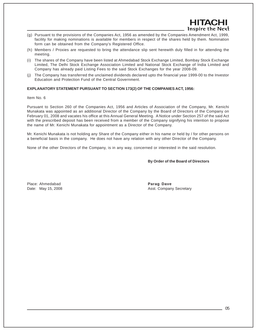- Inspire the Next (g) Pursuant to the provisions of the Companies Act, 1956 as amended by the Companies Amendment Act, 1999, facility for making nominations is available for members in respect of the shares held by them. Nomination form can be obtained from the Company's Registered Office.
- (h) Members / Proxies are requested to bring the attendance slip sent herewith duly filled in for attending the meeting.
- (i) The shares of the Company have been listed at Ahmedabad Stock Exchange Limited, Bombay Stock Exchange Limited, The Delhi Stock Exchange Association Limited and National Stock Exchange of India Limited and Company has already paid Listing Fees to the said Stock Exchanges for the year 2008-09.
- (j) The Company has transferred the unclaimed dividends declared upto the financial year 1999-00 to the Investor Education and Protection Fund of the Central Government.

#### **EXPLANATORY STATEMENT PURSUANT TO SECTION 173(2) OF THE COMPANIES ACT, 1956:**

Item No. 6

Pursuant to Section 260 of the Companies Act, 1956 and Articles of Association of the Company, Mr. Kenichi Munakata was appointed as an additional Director of the Company by the Board of Directors of the Company on February 01, 2008 and vacates his office at this Annual General Meeting. A Notice under Section 257 of the said Act with the prescribed deposit has been received from a member of the Company signifying his intention to propose the name of Mr. Kenichi Munakata for appointment as a Director of the Company.

Mr. Kenichi Munakata is not holding any Share of the Company either in his name or held by / for other persons on a beneficial basis in the company. He does not have any relation with any other Director of the Company.

None of the other Directors of the Company, is in any way, concerned or interested in the said resolution.

#### **By Order of the Board of Directors**

HITACHI

Place: Ahmedabad **Parag Dave**

Date: May 15, 2008 **Asst. Company Secretary Company Secretary**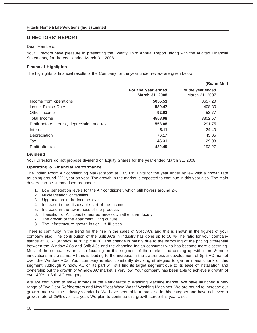# **DIRECTORS' REPORT**

### Dear Members,

Your Directors have pleasure in presenting the Twenty Third Annual Report, along with the Audited Financial Statements, for the year ended March 31, 2008.

## **Financial Highlights**

The highlights of financial results of the Company for the year under review are given below:

|                                      | (Rs. in Mn.)                         |
|--------------------------------------|--------------------------------------|
| For the year ended<br>March 31, 2008 | For the year ended<br>March 31, 2007 |
| 5055.53                              | 3657.20                              |
| 589.47                               | 408.30                               |
| 92.92                                | 53.77                                |
| 4558.98                              | 3302.67                              |
| 553.08                               | 291.75                               |
| 8.11                                 | 24.40                                |
| 76.17                                | 45.05                                |
| 46.31                                | 29.03                                |
| 422.49                               | 193.27                               |
|                                      |                                      |

#### **Dividend**

Your Directors do not propose dividend on Equity Shares for the year ended March 31, 2008.

#### **Operating & Financial Performance**

The Indian Room Air conditioning Market stood at 1.85 Mn. units for the year under review with a growth rate touching around 22% year on year. The growth in the market is expected to continue in this year also. The main drivers can be summarised as under:

- 1. Low penetration levels for the Air conditioner, which still hovers around 2%.
- 2. Nuclearisation of families.
- 3. Upgradation in the Income levels.
- 4. Increase in the disposable part of the income
- 5. Increase in the awareness of the products
- 6. Transition of Air conditioners as necessity rather than luxury.
- 7. The growth of the apartment living culture.
- 8. The Infrastructure growth in tier II & III cities.

There is continuity in the trend for the rise in the sales of Split ACs and this is shown in the figures of your company also. The contribution of the Split ACs in industry has gone up to 50 %.The ratio for your company stands at 38:62 (Window ACs: Split ACs). The change is mainly due to the narrowing of the pricing differential between the Window ACs and Split ACs and the changing Indian consumer who has become more discerning. Most of the companies are also focusing on this segment of the market and coming up with more & more innovations in the same. All this is leading to the increase in the awareness & development of Split AC market over the Window ACs. Your company is also constantly devising strategies to garner major chunk of this segment. Although Window AC on its part will still find its target segment due to its ease of installation and ownership but the growth of Window AC market is very low. Your company has been able to achieve a growth of over 40% in Split AC category.

We are continuing to make inroads in the Refrigerator & Washing Machine market. We have launched a new range of Two Door Refrigerators and New "Beat Wave Wash" Washing Machines. We are bound to increase our growth rate over the industry standards. We have been able to stabilise in this category and have achieved a growth rate of 25% over last year. We plan to continue this growth spree this year also.

06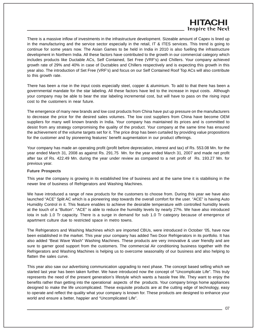# HITACI Inspire the Next

There is a massive inflow of investments in the infrastructure development. Sizeable amount of Capex is lined up in the manufacturing and the service sector especially in the retail, IT & ITES services. This trend is going to continue for some years now. The Asian Games to be held in India in 2010 is also fuelling the infrastructure development in Northern India. All these factors have contributed to the growth in our commercial category which includes products like Ductable ACs, Self Contained, Set Free (VRF's) and Chillers. Your company achieved growth rate of 29% and 40% in case of Ductables and Chillers respectively and is expecting this growth in this year also. The introduction of Set Free (VRF's) and focus on our Self Contained Roof Top ACs will also contribute to this growth rate.

There has been a rise in the input costs especially steel, copper & aluminium. To add to that there has been a governmental mandate for the star labeling. All these factors have led to the increase in input costs. Although your company may be able to bear the star labeling incremental cost, but will have to pass on the rising input cost to the customers in near future.

The emergence of many new brands and low cost products from China have put up pressure on the manufacturers to decrease the price for the desired sales volumes. The low cost suppliers from China have become OEM suppliers for many well known brands in India. Your company has maintained its prices and is committed to desist from any strategy compromising the quality of the product. Your company at the same time has ensured the achievement of the volume targets set for it. The price drop has been curtailed by providing value propositions for the customer and by pioneering features' benefit augmentation in our product offerings.

Your company has made an operating profit (profit before depreciation, interest and tax) of Rs. 553.08 Mn. for the year ended March 31, 2008 as against Rs. 291.75 Mn. for the year ended March 31, 2007 and made net profit after tax of Rs. 422.49 Mn. during the year under review as compared to a net profit of Rs. 193.27 Mn. for previous year.

## **Future Prospects**

This year the company is growing in its established line of business and at the same time it is stabilising in the newer line of business of Refrigerators and Washing Machines.

We have introduced a range of new products for the customers to choose from. During this year we have also launched "ACE" Split AC which is a pioneering step towards the overall comfort for the user. "ACE" is having Auto Humidity Control in it. This feature enables to achieve the desirable temperature with controlled humidity levels at the touch of a "Button". "ACE" is able to reduce the humidity levels by nearly 27%. We have also introduced Iota in sub 1.0 Tr capacity. There is a surge in demand for sub 1.0 Tr category because of emergence of apartment culture due to restricted space in metro towns.

The Refrigerators and Washing Machines which are imported CBUs, were introduced in October '05, have now been established in the market. This year your company has added Two Door Refrigerators in its portfolio. It has also added "Beat Wave Wash" Washing Machines. These products are very innovative & user friendly and are sure to garner good support from the customers. The commercial Air conditioning business together with the Refrigerators and Washing Machines is helping us to overcome seasonality of our business and also helping to flatten the sales curve.

This year also saw our advertising communication upgrading to next phase. The concept based selling which we started last year has been taken further. We have introduced now the concept of "Uncomplicate Life". This truly represents the need of the present generation's lifestyle which wants a hassle free life. They want to enjoy the benefits rather than getting into the operational aspects of the products. Your company brings home appliances designed to make the life uncomplicated. These exquisite products are at the cutting edge of technology, easy to operate and reflect the quality what your company is known for. These products are designed to enhance your world and ensure a better, happier and "Uncomplicated Life".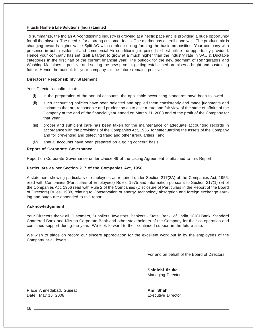To summarize, the Indian Air-conditioning industry is growing at a hectic pace and is providing a huge opportunity for all the players. The need is for a strong customer focus. The market has overall done well. The product mix is changing towards higher value Split AC with comfort cooling forming the basic proposition. Your company with presence in both residential and commercial Air conditioning is poised to best utilize the opportunity provided. Hence your company has set itself a target to grow at a much higher than the industry rate in SAC & Ductable categories in the first half of the current financial year. The outlook for the new segment of Refrigerators and Washing Machines is positive and seeing the new product getting established promises a bright and sustaining future. Hence the outlook for your company for the future remains positive.

#### **Directors' Responsibility Statement**

Your Directors confirm that:

- (i) in the preparation of the annual accounts, the applicable accounting standards have been followed ;
- (ii) such accounting policies have been selected and applied them consistently and made judgments and estimates that are reasonable and prudent so as to give a true and fair view of the state of affairs of the Company at the end of the financial year ended on March 31, 2008 and of the profit of the Company for that year ;
- (iii) proper and sufficient care has been taken for the maintenance of adequate accounting records in accordance with the provisions of the Companies Act, 1956 for safeguarding the assets of the Company and for preventing and detecting fraud and other irregularities ; and
- (iv) annual accounts have been prepared on a going concern basis.

#### **Report of Corporate Governance**

Report on Corporate Governance under clause 49 of the Listing Agreement is attached to this Report.

#### **Particulars as per Section 217 of the Companies Act, 1956**

A statement showing particulars of employees as required under Section 217(2A) of the Companies Act, 1956, read with Companies (Particulars of Employees) Rules, 1975 and information pursuant to Section 217(1) (e) of the Companies Act, 1956 read with Rule 2 of the Companies (Disclosure of Particulars in the Report of the Board of Directors) Rules, 1988, relating to Conservation of energy, technology absorption and foreign exchange earning and outgo are appended to this report.

#### **Acknowledgement**

Your Directors thank all Customers, Suppliers, Investors, Bankers - State Bank of India, ICICI Bank, Standard Chartered Bank and Mizuho Corporate Bank and other stakeholders of the Company for their co-operation and continued support during the year. We look forward to their continued support in the future also.

We wish to place on record our sincere appreciation for the excellent work put in by the employees of the Company at all levels.

For and on behalf of the Board of Directors

**Shinichi Iizuka** Managing Director

Place: Ahmedabad, Gujarat **Anil Shah Anil Shah** Date: May 15, 2008 **Executive Director** Executive Director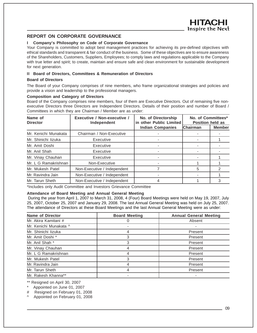# **REPORT ON CORPORATE GOVERNANCE**

### **I Company's Philosophy on Code of Corporate Governance**

Your Company is committed to adopt best management practices for achieving its pre-defined objectives with ethical standards and transparent & fair conduct of the business. Some of these objectives are to ensure awareness of the Shareholders, Customers, Suppliers, Employees; to comply laws and regulations applicable to the Company with true letter and spirit; to create, maintain and ensure safe and clean environment for sustainable development for next generation.

### **II Board of Directors, Committees & Remuneration of Directors**

#### **Board of Directors**

The Board of your Company comprises of nine members, who frame organizational strategies and policies and provide a vision and leadership to the professional managers.

#### **Composition and Category of Directors**

Board of the Company comprises nine members, four of them are Executive Directors. Out of remaining five nonexecutive Directors three Directors are Independent Directors. Details of their position and number of Board / Committees in which they are Chairman / Member are as under:

| Executive / Non-executive /<br>Name of<br><b>Director</b><br>Independent |                             | No. of Directorship<br>in other Public Limited | No. of Committees*<br><b>Position held as</b> |               |
|--------------------------------------------------------------------------|-----------------------------|------------------------------------------------|-----------------------------------------------|---------------|
|                                                                          |                             | <b>Indian Companies</b>                        | <b>Chairman</b>                               | <b>Member</b> |
| Mr. Kenichi Munakata                                                     | Chairman / Non-Executive    |                                                |                                               |               |
| Mr. Shinichi lizuka                                                      | Executive                   |                                                |                                               |               |
| Mr. Amit Doshi                                                           | Executive                   |                                                |                                               |               |
| Mr. Anil Shah                                                            | Executive                   |                                                |                                               |               |
| Mr. Vinay Chauhan                                                        | Executive                   |                                                |                                               |               |
| Mr. L G Ramakrishnan                                                     | Non-Executive               |                                                |                                               |               |
| Mr. Mukesh Patel                                                         | Non-Executive / Independent |                                                | 5                                             | 2             |
| Mr. Ravindra Jain                                                        | Non-Executive / Independent |                                                |                                               |               |
| Mr. Tarun Sheth                                                          | Non-Executive / Independent | 4                                              |                                               | 3             |

\*Includes only Audit Committee and Investors Grievance Committee

## **Attendance of Board Meeting and Annual General Meeting**

During the year from April 1, 2007 to March 31, 2008, 4 (Four) Board Meetings were held on May 19, 2007, July 25, 2007, October 25, 2007 and January 29, 2008. The last Annual General Meeting was held on July 25, 2007. The attendance of Directors at these Board Meetings and the last Annual General Meeting were as under:

| Name of Director       | <b>Board Meeting</b> | <b>Annual General Meeting</b> |
|------------------------|----------------------|-------------------------------|
| Mr. Akira Kamitani #   |                      | Absent                        |
| Mr. Kenichi Munakata ^ |                      |                               |
| Mr. Shinichi lizuka    |                      | Present                       |
| Mr. Amit Doshi *       |                      | Present                       |
| Mr. Anil Shah *        | 3                    | Present                       |
| Mr. Vinay Chauhan      |                      | Present                       |
| Mr. L G Ramakrishnan   |                      | Present                       |
| Mr. Mukesh Patel       |                      | Present                       |
| Mr. Ravindra Jain      |                      | Present                       |
| Mr. Tarun Sheth        |                      | Present                       |
| Mr. Rakesh Khanna**    |                      |                               |

\*\* Resigned on April 30, 2007

Appointed on June 01, 2007

# Resigned on February 01, 2008

^ Appointed on February 01, 2008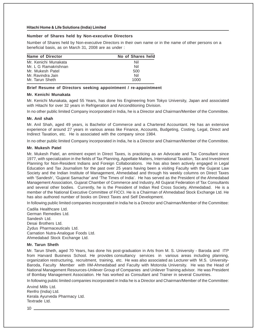#### **Number of Shares held by Non-executive Directors**

Number of Shares held by Non-executive Directors in their own name or in the name of other persons on a beneficial basis, as on March 31, 2008 are as under :

| Name of Director     | No of Shares held |
|----------------------|-------------------|
| Mr. Kenichi Munakata | Nil               |
| Mr. L G Ramakrishnan | Nil               |
| Mr. Mukesh Patel     | 500               |
| Mr. Ravindra Jain    | Nil               |
| Mr. Tarun Sheth      | 1000              |

#### **Brief Resume of Directors seeking appointment / re-appointment**

#### **Mr. Kenichi Munakata**

Mr. Kenichi Munakata, aged 55 Years, has done his Engineering from Tokyo University, Japan and associated with Hitachi for over 32 years in Refrigeration and Airconditioning Division.

In no other public limited Company incorporated in India, he is a Director and Chairman/Member of the Committee.

#### **Mr. Anil shah**

Mr. Anil Shah, aged 49 years, is Bachelor of Commerce and a Chartered Accountant. He has an extensive experience of around 27 years in various areas like Finance, Accounts, Budgeting, Costing, Legal, Direct and Indirect Taxation, etc. He is associated with the company since 1984.

In no other public limited Company incorporated in India, he is a Director and Chairman/Member of the Committee.

#### **Mr. Mukesh Patel**

Mr. Mukesh Patel, an eminent expert in Direct Taxes, is practicing as an Advocate and Tax Consultant since 1977, with specialization in the fields of Tax Planning, Appellate Matters, International Taxation, Tax and Investment Planning for Non-Resident Indians and Foreign Collaborations. He has also been actively engaged in Legal Education and Tax Journalism for the past over 25 years having been a visiting Faculty with the Gujarat Law Society and the Indian Institute of Management, Ahmedabad and through his weekly columns on Direct Taxes with 'Sandesh', 'Gujarat Samachar' and 'The Times of India'. He has served as the President of the Ahmedabad Management Association, Gujarat Chamber of Commerce and Industry, All Gujarat Federation of Tax Consultants and several other bodies. Currently, he is the President of Indian Red Cross Society, Ahmedabad. He is a member of the National Executive Committee of FICCI. He is a Chairman of Ahmedabad Stock Exchange Ltd. He has also authored number of books on Direct Taxes and Self Development.

In following public limited companies incorporated in India he is a Director and Chairman/Member of the Committee:

Cadila Healthcare Ltd. German Remedies Ltd. Sandesh Ltd. Desai Brothers Ltd. Zydus Pharmaceuticals Ltd. Carnation Nutra-Analogue Foods Ltd. Ahmedabad Stock Exchange Ltd.

#### **Mr. Tarun Sheth**

Mr. Tarun Sheth, aged 70 Years, has done his post-graduation in Arts from M. S. University - Baroda and ITP from Harvard Business School. He provides consultancy services in various areas including planning, organization restructuring, recruitment, training, etc. He was also associated as Lecturer with M.S. University-Baroda, Faculty Member with IIM-Ahmedabad and Faculty with Motorola University. He was the Head of National Management Resources-Unilever Group of Companies and Unilever Training advisor. He was President of Bombay Management Association. He has worked as Consultant and Trainer in several Countries.

In following public limited companies incorporated in India he is a Director and Chairman/Member of the Committee:

Arvind Mills Ltd. Renfro (India) Ltd. Kerala Ayurveda Pharmacy Ltd. Textrade Ltd.

 $10$   $-$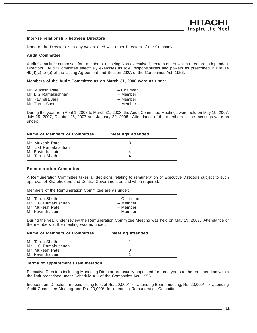#### **Inter-se relationship between Directors**

None of the Directors is in any way related with other Directors of the Company.

#### **Audit Committee**

Audit Committee comprises four members, all being Non-executive Directors out of which three are independent Directors. Audit Committee effectively exercises its role, responsibilities and powers as prescribed in Clause 49(II)(c) to (e) of the Listing Agreement and Section 292A of the Companies Act, 1956.

#### **Members of the Audit Committee as on March 31, 2008 were as under:**

| Mr. Mukesh Patel     | - Chairman |
|----------------------|------------|
| Mr. L G Ramakrishnan | – Member   |
| Mr. Ravindra Jain    | – Member   |
| Mr. Tarun Sheth      | - Member   |
|                      |            |

During the year from April 1, 2007 to March 31, 2008, the Audit Committee Meetings were held on May 19, 2007, July 25, 2007, October 25, 2007 and January 29, 2008. Attendance of the members at the meetings were as under:

| Name of Members of Committee | <b>Meetings attended</b> |  |
|------------------------------|--------------------------|--|
| Mr. Mukesh Patel             |                          |  |
| Mr. L G Ramakrisnhan         |                          |  |
| Mr. Ravindra Jain            |                          |  |
| Mr. Tarun Sheth              |                          |  |

#### **Remuneration Committee**

A Remuneration Committee takes all decisions relating to remuneration of Executive Directors subject to such approval of Shareholders and Central Government as and when required.

Members of the Remuneration Committee are as under:

During the year under review the Remuneration Committee Meeting was held on May 19, 2007. Attendance of the members at the meeting was as under:

| Name of Members of Committee | <b>Meeting attended</b> |  |
|------------------------------|-------------------------|--|
| Mr. Tarun Sheth              |                         |  |
| Mr. L G Ramakrishnan         |                         |  |
| Mr. Mukesh Patel             |                         |  |
| Mr. Ravindra Jain            |                         |  |

#### **Terms of appointment / remuneration**

Executive Directors including Managing Director are usually appointed for three years at the remuneration within the limit prescribed under Schedule XIII of the Companies Act, 1956.

Independent Directors are paid sitting fees of Rs. 20,000/- for attending Board meeting, Rs. 20,000/- for attending Audit Committee Meeting and Rs. 10,000/- for attending Remuneration Committee.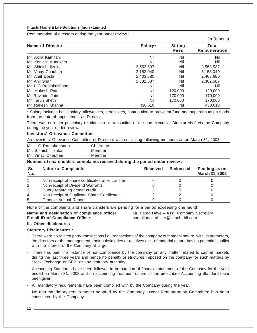Remuneration of directors during the year under review :

|                      |           |                               | (in Rupees)                  |
|----------------------|-----------|-------------------------------|------------------------------|
| Name of Director     | Salary*   | <b>Sitting</b><br><b>Fees</b> | <b>Total</b><br>Remuneration |
| Mr. Akira Kamitani   | Nil       | Nil                           | Nil                          |
| Mr. Kenichi Munakata | Nil       | Nil                           | Nil                          |
| Mr. Shinichi lizuka  | 3,553,537 | Nil                           | 3,553,537                    |
| Mr. Vinay Chauhan    | 3,153,040 | Nil                           | 3,153,040                    |
| Mr. Amit Doshi       | 2,403,680 | Nil                           | 2,403,680                    |
| Mr. Anil Shah        | 2,382,587 | Nil                           | 2,382,587                    |
| Mr. L G Ramakrishnan | Nil       | Nil                           | Nil                          |
| Mr. Mukesh Patel     | Nil       | 120,000                       | 120,000                      |
| Mr. Ravindra Jain    | Nil       | 170,000                       | 170,000                      |
| Mr. Tarun Sheth      | Nil       | 170,000                       | 170,000                      |
| Mr. Rakesh Khanna    | 438.610   | Nil                           | 438.610                      |

\* Salary includes basic salary, allowances, perquisites, contribution to provident fund and superannuation funds from the date of appointment as Director.

There was no other pecuniary relationship or transaction of the non-executive Director vis-à-vis the Company during the year under review.

#### **Investors' Grievance Committee**

An Investors' Grievance Committee of Directors was consisting following members as on March 31, 2008:

| Mr. L G Ramakrishnan | - Chairman |
|----------------------|------------|
| Mr. Shinichi lizuka  | – Member   |
| Mr. Vinay Chauhan    | – Member   |

**Number of shareholders complaints received during the period under review :**

| Sr.<br>No. | <b>Nature of Complaints</b>                      | <b>Received</b> | Redressed | Pending as on<br>March 31, 2008 |
|------------|--------------------------------------------------|-----------------|-----------|---------------------------------|
|            | Non-receipt of share certificates after transfer |                 |           |                                 |
| 2.         | Non-receipt of Dividend Warrants                 |                 |           |                                 |
| 3.         | Query regarding demat credit                     |                 |           |                                 |
| 4.         | Non-receipt of Duplicate Share Certificates      |                 |           |                                 |
| 5          | Others: Annual Report                            |                 |           |                                 |

None of the complaints and share transfers are pending for a period exceeding one month.

**Name and designation of compliance officer:** Mr. Parag Dave – Asst. Company Secretary **E-mail ID of Compliance Officer:** compliance.officer@hitachi-hli.com

#### **III. Other disclosures**

#### **Statutory Disclosures :**

- There were no related party transactions i.e. transactions of the company of material nature, with its promoters, the directors or the management, their subsidiaries or relatives etc., of material nature having potential conflict with the interest of the Company at large.
- There has been no instance of non-compliance by the company on any matter related to capital markets during the last three years and hence no penalty or strictures imposed on the company for such matters by Stock Exchange or SEBI or any statutory authority.
- Accounting Standards have been followed in preparation of financial statement of the Company for the year ended on March 31, 2008 and no accounting treatment different than prescribed Accounting Standard have been given.
- All mandatory requirements have been complied with by the Company during the year.
- No non-mandatory requirements adopted by the Company except Remuneration Committee has been constituted by the Company..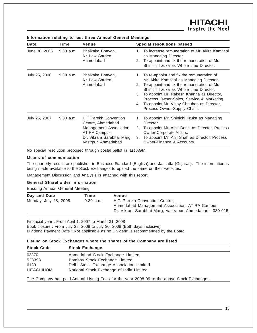| Date          | Time        | Venue                                                                                                                                     |          | Special resolutions passed                                                                                                                                                                                                                                                                                                                                       |
|---------------|-------------|-------------------------------------------------------------------------------------------------------------------------------------------|----------|------------------------------------------------------------------------------------------------------------------------------------------------------------------------------------------------------------------------------------------------------------------------------------------------------------------------------------------------------------------|
| June 30, 2005 | $9.30$ a.m. | Bhaikaka Bhavan,<br>Nr. Law Garden,<br>Ahmedabad                                                                                          |          | 1. To increase remuneration of Mr. Akira Kamitani<br>as Managing Director.<br>2. To appoint and fix the remuneration of Mr.<br>Shinichi lizuka as Whole time Director.                                                                                                                                                                                           |
| July 25, 2006 | $9.30$ a.m. | Bhaikaka Bhavan,<br>Nr. Law Garden,<br>Ahmedabad                                                                                          |          | 1. To re-appoint and fix the remuneration of<br>Mr. Akira Kamitani as Managing Director.<br>2. To appoint and fix the remuneration of Mr.<br>Shinichi lizuka as Whole time Director.<br>3. To appoint Mr. Rakesh Khanna as Director,<br>Process Owner-Sales, Service & Marketing.<br>4. To appoint Mr. Vinay Chauhan as Director,<br>Process Owner-Supply Chain. |
| July 25, 2007 | 9.30 a.m.   | H T Parekh Convention<br>Centre, Ahmedabad<br>Management Association<br>ATIRA Campus,<br>Dr. Vikram Sarabhai Marg,<br>Vastrpur, Ahmedabad | 2.<br>3. | 1. To appoint Mr. Shinichi lizuka as Managing<br>Director.<br>To appoint Mr. Amit Doshi as Director, Process<br>Owner-Corporate Affairs.<br>To appoint Mr. Anil Shah as Director, Process<br>Owner-Finance & Accounts.                                                                                                                                           |

**Information relating to last three Annual General Meetings**

No special resolution proposed through postal ballot in last AGM.

#### **Means of communication**

The quarterly results are published in Business Standard (English) and Jansatta (Gujarati). The information is being made available to the Stock Exchanges to upload the same on their websites.

Management Discussion and Analysis is attached with this report.

### **General Shareholder information**

Ensuing Annual General Meeting

| Day and Date                         | Time | Venue                                                    |
|--------------------------------------|------|----------------------------------------------------------|
| Monday, July 28, 2008<br>$9.30$ a.m. |      | H.T. Parekh Convention Centre,                           |
|                                      |      | Ahmedabad Management Association, ATIRA Campus,          |
|                                      |      | Dr. Vikram Sarabhai Marg, Vastrapur, Ahmedabad - 380 015 |

Financial year : From April 1, 2007 to March 31, 2008 Book closure : From July 28, 2008 to July 30, 2008 (Both days inclusive) Dividend Payment Date : Not applicable as no Dividend is recommended by the Board.

#### **Listing on Stock Exchanges where the shares of the Company are listed**

| <b>Stock Code</b> | <b>Stock Exchange</b>                    |  |
|-------------------|------------------------------------------|--|
| 03870             | Ahmedabad Stock Exchange Limited         |  |
| 523398            | Bombay Stock Exchange Limited            |  |
| 6139              | Delhi Stock Exchange Association Limited |  |
| <b>HITACHIHOM</b> | National Stock Exchange of India Limited |  |

The Company has paid Annual Listing Fees for the year 2008-09 to the above Stock Exchanges.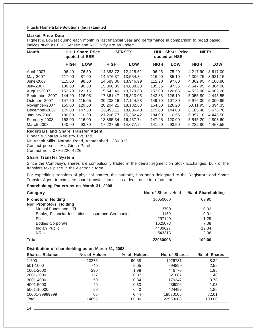#### **Market Price Data**

Highest & Lowest during each month in last financial year and performance in comparison to broad based indices such as BSE Sensex and NSE Nifty are as under:

| <b>Month</b>     |             | <b>HHLI Share Price</b><br>quoted at BSE |             | <b>SENSEX</b> |             | <b>HHLI Share Price</b><br>quoted at NSE | <b>NIFTY</b> |          |
|------------------|-------------|------------------------------------------|-------------|---------------|-------------|------------------------------------------|--------------|----------|
|                  | <b>HIGH</b> | LOW                                      | <b>HIGH</b> | LOW           | <b>HIGH</b> | LOW                                      | <b>HIGH</b>  | LOW      |
| April-2007       | 96.40       | 76.50                                    | 14.383.72   | 12.425.52     | 96.25       | 75.20                                    | 4.217.90     | 3.617.00 |
| May-2007         | 117.00      | 87.00                                    | 14.576.37   | 13.554.34     | 116.90      | 85.10                                    | 4.306.75     | 3.981.15 |
| June-2007        | 115.00      | 98.00                                    | 14.683.36   | 13.946.99     | 112.90      | 97.60                                    | 4.362.95     | 4.100.80 |
| <b>July-2007</b> | 136.00      | 96.00                                    | 15.868.85   | 14.638.88     | 135.55      | 97.35                                    | 4.647.95     | 4.304.00 |
| August-2007      | 152.70      | 121.15                                   | 15.542.40   | 13.779.88     | 153.00      | 120.05                                   | 4.532.90     | 4,002.20 |
| September-2007   | 144.90      | 126.05                                   | 17.361.47   | 15.323.05     | 143.85      | 126.10                                   | 5.055.80     | 4.445.55 |
| October-2007     | 147.50      | 115.05                                   | 20.238.16   | 17.144.58     | 149.70      | 107.80                                   | 5.976.00     | 5.000.95 |
| November-2007    | 155.00      | 129.00                                   | 20,204.21   | 18,182.83     | 154.80      | 126.20                                   | 6,011.95     | 5,394.35 |
| December-2007    | 179.00      | 147.50                                   | 20.498.11   | 18.886.40     | 179.00      | 144.00                                   | 6.185.40     | 5.676.70 |
| January-2008     | 180.00      | 110.00                                   | 21.206.77   | 15.332.42     | 184.00      | 110.65                                   | 6.357.10     | 4.448.50 |
| February-2008    | 158.00      | 116.00                                   | 18,895.34   | 16.457.74     | 147.95      | 120.00                                   | 5.545.20     | 4.803.60 |
| March-2008       | 140.00      | 93.30                                    | 17.227.56   | 14.677.24     | 141.90      | 93.50                                    | 5.222.80     | 4.468.55 |

#### **Registrars and Share Transfer Agent** Pinnacle Shares Registry Pvt. Ltd.

Nr. Ashok Mills, Naroda Road, Ahmedabad : 380 025 Contact person : Mr. Girish Patel Contact no. : 079-2220 4226

## **Share Transfer System**

Since the Company's shares are compulsorily traded in the demat segment on Stock Exchanges, bulk of the transfers take place in the electronic form.

For expediting transfers of physical shares, the authority has been delegated to the Registrars and Share Transfer Agent to complete share transfer formalities at least once in a fortnight.

#### **Shareholding Pattern as on March 31, 2008**

| Category                                           | No. of Shares Held | % of Shareholding |
|----------------------------------------------------|--------------------|-------------------|
| <b>Promotors' Holding</b>                          | 16050000           | 69.90             |
| <b>Non Promotors' Holding</b>                      |                    |                   |
| Mutual Funds and UTI                               | 3700               | 0.02              |
| Banks, Financial Institutions, Insurance Companies | 1150               | 0.01              |
| Flis                                               | 297140             | 1.29              |
| <b>Bodies Corporate</b>                            | 1625078            | 7.08              |
| Indian Public                                      | 4439627            | 19.34             |
| <b>NRIS</b>                                        | 543313             | 2.36              |
| Total                                              | 22960008           | 100.00            |

#### **Distribution of shareholding as on March 31, 2008**

| <b>Shares Balance</b> | No. of Holders | % of Holders | No. of Shares | of Shares<br>% |
|-----------------------|----------------|--------------|---------------|----------------|
| $1 - 500$             | 13275          | 90.58        | 1926731       | 8.39           |
| 501-1000              | 740            | 5.05         | 594899        | 2.59           |
| 1001-2000             | 290            | 1.98         | 446770        | 1.95           |
| 2001-3000             | 127            | 0.87         | 321667        | 1.40           |
| 3001-4000             | 50             | 0.34         | 179247        | 0.78           |
| 4001-5000             | 49             | 0.33         | 236096        | 1.03           |
| 5001-10000            | 59             | 0.40         | 424492        | 1.85           |
| 10001-99999999        | 65             | 0.44         | 18830106      | 82.01          |
| Total                 | 14655          | 100.00       | 22960008      | 100.00         |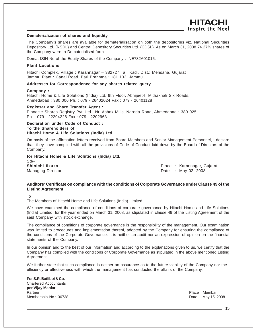#### **Dematerialization of shares and liquidity**

The Company's shares are available for dematerialisation on both the depositories viz. National Securities Depository Ltd. (NSDL) and Central Depository Securities Ltd. (CDSL). As on March 31, 2008 74.27% shares of the Company were in Dematerialised form.

Demat ISIN No of the Equity Shares of the Company : INE782A01015.

#### **Plant Locations**

Hitachi Complex, Village : Karannagar – 382727 Ta.: Kadi, Dist.: Mehsana, Gujarat Jammu Plant : Canal Road, Bari Brahmna : 181 133, Jammu

#### **Addresses for Correspondence for any shares related query**

#### **Company :**

Hitachi Home & Life Solutions (India) Ltd. 9th Floor, Abhijeet-I, Mithakhali Six Roads, Ahmedabad : 380 006 Ph. : 079 - 26402024 Fax : 079 - 26401128

#### **Registrar and Share Transfer Agent :**

Pinnacle Shares Registry Pvt. Ltd., Nr. Ashok Mills, Naroda Road, Ahmedabad : 380 025 Ph. : 079 - 22204226 Fax : 079 - 2202963

#### **Declaration under Code of Conduct : To the Shareholders of**

#### **Hitachi Home & Life Solutions (India) Ltd.**

On basis of the affirmation letters received from Board Members and Senior Management Personnel, I declare that, they have complied with all the provisions of Code of Conduct laid down by the Board of Directors of the Company.

**for Hitachi Home & Life Solutions (India) Ltd.** Sd/- **Shinichi Iizuka** Place : Karannagar, Gujarat

Managing Director **Date : May 02, 2008** 

-IITACI Inspire the Next

### **Auditors' Certificate on compliance with the conditions of Corporate Governance under Clause 49 of the Listing Agreement**

To

The Members of Hitachi Home and Life Solutions (India) Limited

We have examined the compliance of conditions of corporate governance by Hitachi Home and Life Solutions (India) Limited, for the year ended on March 31, 2008, as stipulated in clause 49 of the Listing Agreement of the said Company with stock exchange.

The compliance of conditions of corporate governance is the responsibility of the management. Our examination was limited to procedures and implementation thereof, adopted by the Company for ensuring the compliance of the conditions of the Corporate Governance. It is neither an audit nor an expression of opinion on the financial statements of the Company.

In our opinion and to the best of our information and according to the explanations given to us, we certify that the Company has complied with the conditions of Corporate Governance as stipulated in the above mentioned Listing Agreement.

We further state that such compliance is neither an assurance as to the future viability of the Company nor the efficiency or effectiveness with which the management has conducted the affairs of the Company.

#### **For S.R. Batliboi & Co.**

Chartered Accountants **per Vijay Maniar** Partner Partner Communication and the Communication of the Communication of the Place : Mumbai Membership No.: 36738 **Date : May 15, 2008**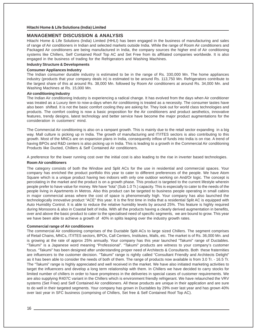#### **MANAGEMENT DISCUSSION & ANALYSIS**

Hitachi Home & Life Solutions (India) Limited (HHLI) has been engaged in the business of manufacturing and sales of range of Air conditioners in Indian and selected markets outside India. While the range of Room Air conditioners and Packaged Air conditioners are being manufactured in India, the company sources the higher end of Air conditioning systems like Chillers, Self Contained Roof Top AC and Set Free from its affiliated companies worldwide. It is also engaged in the business of trading for the Refrigerators and Washing Machines.

#### **Industry Structure & Developments**

#### **Consumer Appliances Industry**

The Indian consumer durable industry is estimated to be in the range of Rs. 330,000 Mn. The home appliances industry (products that your company deals in) is estimated to be around Rs. 113,750 Mn. Refrigerators contribute to the largest share of this at around Rs. 38,000 Mn. followed by Room Air conditioners at around Rs. 34,000 Mn. and Washing Machines at Rs. 15,000 Mn.

#### **Air conditioning Industry**

The Indian Air conditioning Industry is experiencing a radical change. It has evolved from the days when Air conditioner was treated as a Luxury item to now-a-days when Air conditioning is treated as a necessity. The consumer tastes have also been shifted. It is not the basic comfort cooling they are asking for. They look out for world class technologies and products. The comfort cooling is now a basic proposition for the Air conditioners and product aesthetics, innovative features, trendy designs, latest technology and better service have become the major product augmentations for the consideration in customers' mind.

The Commercial Air conditioning is also on a rampant growth. This is mainly due to the retail sector expanding in a big way. Mall culture is picking up in India. The growth of manufacturing and IT/ITES sectors is also contributing to this growth. Most of the MNCs are on expansion plans in India, consequently inflow of funds into India is on rise. A trend of having BPOs and R&D centers is also picking up in India. This is leading to a growth in the Commercial Air conditioning Products like Ducted, Chillers & Self Contained Air conditioners.

A preference for the lower running cost over the initial cost is also leading to the rise in inverter based technologies.

#### **Room Air conditioners**

The category consists of both the Window and Split ACs for the use in residential and commercial spaces. Your company has enriched the product portfolio this year to cater to different preferences of the people. We have Atom Square which is a unique product having two indoors with only one outdoor working on And/Or logic. The concept is percolating in the market and the product is on a growth phase. This product is targeted to the current lifestyle wherein people prefer to have value for money. We have "Iota" (Sub 1.0 Tr.) capacity. This is especially to cater to the needs of the people living in Apartments in Metros. Also this product can be targeted to business people operating in small cabins in major commercial areas where the cost of space is phenomenally high. Your company has also launched the technologically innovative product "ACE" this year. It is the first time in India that a residential Split AC is equipped with Auto Humidity Control. It is able to reduce the relative humidity levels by around 25%. This feature is highly required during Monsoons & also in Coastal belt of India. With all the products having a clearly derived augmentation in benefits, over and above the basic product to cater to the specialised need of specific segments, we are bound to grow. This year we have been able to achieve a growth of 40% in splits leaping over the industry growth rates.

#### **Commercial range of Air conditioners**

The commercial Air conditioning comprises of the Ductable Split ACs to large sized Chillers. The segment comprises of Retail Chains, MNCs, IT/ITES sectors, BPOs, Call Centers, Institutes, Malls, etc. The market is of Rs. 36,000 Mn. and is growing at the rate of approx 25% annually. Your company has this year launched "Takumi" range of Ductables. "Takumi" is a Japanese word meaning "Professional". "Takumi" products are witness to your company's customer focus. "Takumi" has been designed after understanding proper need of Architects & Consultants. Both these fraternities are influencers to the customer decision. "Takumi" range is rightly called "Consultant Friendly and Architects Delight" as it has been able to consider the needs of both of them. The range of products now available is from 3.0 Tr. - 16.5 Tr. The "Takumi" range is highly appreciated and well received in the market. We have also initiated marketing activities to target the influencers and develop a long term relationship with them. In Chillers we have decided to carry stocks for limited number of chillers in order to have promptness in the deliveries in special cases of customer requirements. We are also supplying R407C variant in the Chillers which is environment friendly refrigerant. We have relaunched the VRV systems (Set Free) and Self Contained Air conditioners. All these products are unique in their application and are sure to do well in their targeted segments. Your company has grown in Ductables by 29% over last year and has grown 40% over last year in SFC business (comprising of Chillers, Set free & Self Contained Roof Top AC).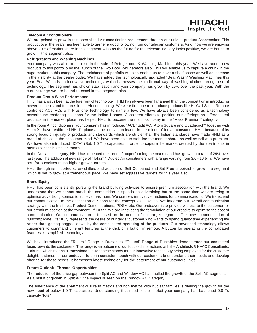#### **Telecom Air conditioners**

We are poised to grow in this specialised Air conditioning requirement through our unique product Spacemaker. This product over the years has been able to garner a good following from our telecom customers. As of now we are enjoying above 20% of market share in this segment. Also as the future for the telecom industry looks positive, we are bound to grow in this segment also.

#### **Refrigerators and Washing Machines**

Your company was able to stabilise in the sale of Refrigerators & Washing Machines this year. We have added new products to this portfolio by the launch of the Two Door Refrigerators also. This will enable us to capture a chunk in the huge market in this category. The enrichment of portfolio will also enable us to have a shelf space as well as increase in the visibility at the dealer outlet. We have added the technologically upgraded "Beat Wash" Washing Machines this year. Beat Wash is an innovative technology which harnesses the traditional way of washing clothes through use of technology. The segment has shown stabilisation and your company has grown by 25% over the past year. With the current range we are bound to excel in this segment also.

#### **Product Group Wise Performance**

HHLI has always been at the forefront of technology. HHLI has always been far ahead than the competition in introducing newer concepts and features in the Air conditioning. We were first one to introduce products like Hi-Wall Splits, Remote controlled ACs, ACs with Plus one Technology, to name a few. We have always been considered as a technology powerhouse rendering solutions for the Indian Homes. Consistent efforts to position our offerings as differentiated products in the market place has helped HHLI to become the major company in the "Mass Premium" category.

In the room Air conditioners, your company has introduced "ACE" Split AC. Atom Square and Quadricool™ together with Atom XL have reaffirmed HHLI's place as the innovation leader in the minds of Indian consumer. HHLI because of its strong focus on quality of products and standards which are stricter than the Indian standards have made HHLI as a brand of choice in the consumer mind. We have been able to stabilise the market share, as well as sell at a premium. We have also introduced "IOTA" (Sub 1.0 Tr.) capacities in order to capture the market created by the apartments in metros for their smaller rooms.

In the Ductable category, HHLI has repeated the trend of outperforming the market and has grown at a rate of 29% over last year. The addition of new range of "Takumi" Ducted Air conditioners with a range varying from 3.0 - 16.5 Tr. We have set for ourselves much higher growth targets.

HHLI through its imported screw chillers and addition of Self Contained and Set Free is poised to grow in a segment which is set to grow at a tremendous pace. We have set aggressive targets for this year also.

#### **Brand Equity**

HHLI has been consistently pursuing the brand building activities to ensure premium association with the brand. We understand that we cannot match the competition in spends on advertising but at the same time we are trying to optimise advertising spends to achieve maximum. We use new innovative mediums for communications. We transcend our communication to the destination of Shops for the concept visualisation. We integrate our overall communication strategy with the In shops, Product Demonstrations, POSM etc. Our endeavor is to provide witness to the customer for our premium position at the "Moment Of Truth". We are innovating the formulation of our creative to optimise the cost of communication. Our communication is focused on the needs of our target segment. Our new communication of "Uncomplicate Life" truly represents the desire of our target customer who wants to spend quality time experiencing life rather than getting bogged down by the complicated operating of the products. Our advanced technology allows customers to command different features at the click of a button in remote. A button for operating the complicated features is simplified technology.

We have introduced the "Takumi" Range in Ductables. "Takumi" Range of Ductables demonstrates our committed focus towards the customers. The range is an outcome of our focused interactions with the Architects & HVAC Consultants. "Takumi" which means "Professional" in Japanese stands for our innovative technology being employed for the customer delight. It stands for our endeavor to be in consistent touch with our customers to understand their needs and develop offering for those needs. It harnesses latest technology for the betterment of our customers' lives.

#### **Future Outlook - Threats, Opportunities**

The reduction of the price gap between the Split AC and Window AC has fuelled the growth of the Split AC segment. As a result of growth in Split AC, the impact is seen on the Window AC Category.

The emergence of the apartment culture in metros and non metros with nuclear families is fuelling the growth for the new need of below 1.0 Tr capacities. Understanding that need of the market your company has Launched 0.8 Tr. capacity "Iota".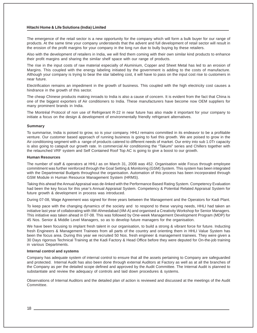The emergence of the retail sector is a new opportunity for the company which will form a bulk buyer for our range of products. At the same time your company understands that the advent and full development of retail sector will result in the erosion of the profit margins for your company in the long run due to bully buying by these retailers.

Also with the development of retailers in India, we will find them coming with their own similar kind products to enhance their profit margins and sharing the similar shelf space with our range of products.

The rise in the input costs of raw material especially of Aluminium, Copper and Sheet Metal has led to an erosion of Margins. This coupled with the energy labeling initiated by the government is adding to the costs of manufacture. Although your company is trying to bear the star labeling cost, it will have to pass on the input cost rise to customers in near future.

Electrification remains an impediment in the growth of business. This coupled with the high electricity cost causes a hindrance in the growth of this sector.

The cheap Chinese products making inroads to India is also a cause of concern. It is evident from the fact that China is one of the biggest exporters of Air conditioners to India. These manufacturers have become now OEM suppliers for many prominent brands in India.

The Montréal Protocol of non use of Refrigerant R-22 in near future has also made it important for your company to initiate a focus on the design & development of environmentally friendly refrigerant alternatives.

#### **Summary**

To summarise, India is poised to grow, so is your company. HHLI remains committed in its endeavor to be a profitable venture. Our customer based approach of running business is going to fuel this growth. We are poised to grow in the Air conditioning segment with a range of products catered to different needs of market. Our entry into sub 1.0Tr capacity is also going to catapult our growth rate. In commercial Air conditioning the "Takumi" series and Chillers together with the relaunched VRF system and Self Contained Roof Top AC is going to give a boost to our growth.

#### **Human Resources**

The number of staff & operators at HHLI as on March 31, 2008 was 452. Organisation wide Focus through employee commitment was further reinforced through the Goal Setting & Monitoring (GSM) System. This system has been integrated with the Departmental Budgets throughout the organisation. Automation of this process has been incorporated through GSM Module in Human Resource Management System (HRMS).

Taking this ahead the Annual Appraisal was de-linked with the Performance Based Rating System. Competency Evaluation had been the key focus for this year's Annual Appraisal System. Competency & Potential Related Appraisal System for future growth & development in process was introduced.

During 07-08, Wage Agreement was signed for three years between the Management and the Operators for Kadi Plant.

To keep pace with the changing dynamics of the society and to respond to these varying needs, HHLI had taken an initiative last year of collaborating with IIM-Ahmedabad (IIM-A) and organised a Creativity Workshop for Senior Managers. This initiative was taken ahead in 07-08. This was followed by One-week Management Development Program (MDP) for 45 Nos. Senior & Middle Level Managers, so as to develop future managers for the organisation.

We have been focusing to implant fresh talent in our organisation, to build a strong & vibrant force for future. Inducting fresh Engineers & Management Trainees from all parts of the country and orienting them in HHLI Value System has been the focus area. During this year we recruited 50 Nos. fresh engineer & management trainees. They were given a 30 Days rigorous Technical Training at the Kadi Factory & Head Office before they were deputed for On-the-job training in various Departments.

#### **Internal control and systems**

Company has adequate system of internal control to ensure that all the assets pertaining to Company are safeguarded and protected. Internal Audit has also been done through external Auditors at Factory as well as at all the branches of the Company as per the detailed scope defined and approved by the Audit Committee. The Internal Audit is planned to substantiate and review the adequacy of controls and laid down procedures & systems.

Observations of Internal Auditors and the detailed plan of action is reviewed and discussed at the meetings of the Audit Committee.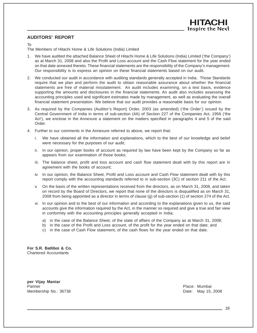# **AUDITORS' REPORT**

#### To

The Members of Hitachi Home & Life Solutions (India) Limited

- 1. We have audited the attached Balance Sheet of Hitachi Home & Life Solutions (India) Limited ('the Company') as at March 31, 2008 and also the Profit and Loss account and the Cash Flow statement for the year ended on that date annexed thereto. These financial statements are the responsibility of the Company's management. Our responsibility is to express an opinion on these financial statements based on our audit.
- 2. We conducted our audit in accordance with auditing standards generally accepted in India. Those Standards require that we plan and perform the audit to obtain reasonable assurance about whether the financial statements are free of material misstatement. An audit includes examining, on a test basis, evidence supporting the amounts and disclosures in the financial statements. An audit also includes assessing the accounting principles used and significant estimates made by management, as well as evaluating the overall financial statement presentation. We believe that our audit provides a reasonable basis for our opinion.
- 3. As required by the Companies (Auditor's Report) Order, 2003 (as amended) ('the Order') issued by the Central Government of India in terms of sub-section (4A) of Section 227 of the Companies Act, 1956 ('the Act'), we enclose in the Annexure a statement on the matters specified in paragraphs 4 and 5 of the said Order.
- 4. Further to our comments in the Annexure referred to above, we report that:
	- i. We have obtained all the information and explanations, which to the best of our knowledge and belief were necessary for the purposes of our audit;
	- ii. In our opinion, proper books of account as required by law have been kept by the Company so far as appears from our examination of those books;
	- iii. The balance sheet, profit and loss account and cash flow statement dealt with by this report are in agreement with the books of account;
	- iv. In our opinion, the Balance Sheet, Profit and Loss account and Cash Flow statement dealt with by this report comply with the accounting standards referred to in sub-section (3C) of section 211 of the Act.
	- v. On the basis of the written representations received from the directors, as on March 31, 2008, and taken on record by the Board of Directors, we report that none of the directors is disqualified as on March 31, 2008 from being appointed as a director in terms of clause (g) of sub-section (1) of section 274 of the Act.
	- vi. In our opinion and to the best of our information and according to the explanations given to us, the said accounts give the information required by the Act, in the manner so required and give a true and fair view in conformity with the accounting principles generally accepted in India;
		- a) in the case of the Balance Sheet, of the state of affairs of the Company as at March 31, 2008;
		- b) in the case of the Profit and Loss account, of the profit for the year ended on that date; and
		- c) in the case of Cash Flow statement, of the cash flows for the year ended on that date.

**For S.R. Batliboi & Co.** Chartered Accountants

**per Vijay Maniar** Partner **Partner** Place: Mumbai Membership No.: 36738 **Date: May 15, 2008** Date: May 15, 2008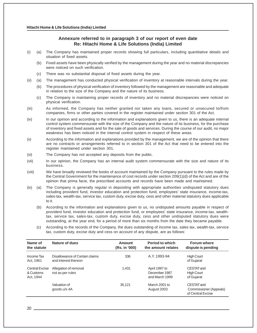# **Annexure referred to in paragraph 3 of our report of even date Re: Hitachi Home & Life Solutions (India) Limited**

- (i) (a) The Company has maintained proper records showing full particulars, including quantitative details and situation of fixed assets.
	- (b) Fixed assets have been physically verified by the management during the year and no material discrepancies were noticed on such verification.
	- (c) There was no substantial disposal of fixed assets during the year.
- (ii) (a) The management has conducted physical verification of inventory at reasonable intervals during the year.
	- (b) The procedures of physical verification of inventory followed by the management are reasonable and adequate in relation to the size of the Company and the nature of its business.
	- (c) The Company is maintaining proper records of inventory and no material discrepancies were noticed on physical verification.
- (iii) As informed, the Company has neither granted nor taken any loans, secured or unsecured to/from companies, firms or other parties covered in the register maintained under section 301 of the Act.
- (iv) In our opinion and according to the information and explanations given to us, there is an adequate internal control system commensurate with the size of the Company and the nature of its business, for the purchase of inventory and fixed assets and for the sale of goods and services. During the course of our audit, no major weakness has been noticed in the internal control system in respect of these areas.
- (v) According to the information and explanations provided by the management, we are of the opinion that there are no contracts or arrangements referred to in section 301 of the Act that need to be entered into the register maintained under section 301.
- (vi) The Company has not accepted any deposits from the public.
- (vii) In our opinion, the Company has an internal audit system commensurate with the size and nature of its business.
- (viii) We have broadly reviewed the books of account maintained by the Company pursuant to the rules made by the Central Government for the maintenance of cost records under section 209(1)(d) of the Act and are of the opinion that prima facie, the prescribed accounts and records have been made and maintained.
- (ix) (a) The Company is generally regular in depositing with appropriate authorities undisputed statutory dues including provident fund, investor education and protection fund, employees' state insurance, income-tax, sales-tax, wealth-tax, service tax, custom duty, excise duty, cess and other material statutory dues applicable to it.
	- (b) According to the information and explanations given to us, no undisputed amounts payable in respect of provident fund, investor education and protection fund, or employees' state insurance, income-tax, wealthtax, service tax, sales-tax, custom duty, excise duty, cess and other undisputed statutory dues were outstanding, at the year end, for a period of more than six months from the date they became payable.
	- (c) According to the records of the Company, the dues outstanding of income tax, sales tax, wealth-tax, service tax, custom duty, excise duty and cess on account of any dispute, are as follows:

| Name of<br>the statute                          | Nature of dues                                         | Amount<br>(Rs. in '000) | <b>Period to which</b><br>the amount relates     | <b>Forum where</b><br>dispute is pending                  |
|-------------------------------------------------|--------------------------------------------------------|-------------------------|--------------------------------------------------|-----------------------------------------------------------|
| Income Tax<br>Act, 1961                         | Disallowance of Certain claims<br>and interest thereon | 336                     | A.Y. 1993-94                                     | <b>High Court</b><br>of Gujarat                           |
| <b>Central Excise</b><br>& Customs<br>Act, 1944 | Allegation of removal<br>not as per rules              | 1.431                   | April 1987 to<br>December 1987<br>and March 1999 | CESTAT and<br><b>High Court</b><br>of Gujarat             |
|                                                 | Valuation of<br>goods u/s 4A                           | 35,121                  | March 2001 to<br>August 2003                     | CESTAT and<br>Commissioner (Appeals)<br>of Central Excise |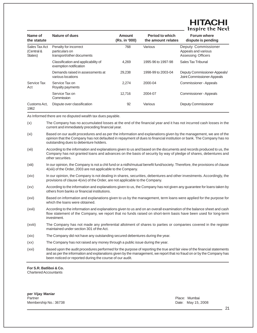# ITACI Inspire the Next

| Name of<br>the statute                 | Nature of dues                                                       | Amount<br>(Rs. in '000) | <b>Period to which</b><br>the amount relates | <b>Forum where</b><br>dispute is pending                                |
|----------------------------------------|----------------------------------------------------------------------|-------------------------|----------------------------------------------|-------------------------------------------------------------------------|
| Sales Tax Act<br>(Central &<br>States) | Penalty for incorrect<br>particulars on<br>transport/other documents | 768                     | Various                                      | Deputy Commissioner<br>Appeals and various<br><b>Assessing Officers</b> |
|                                        | Classification and applicability of<br>exemption notification        | 4,269                   | 1995-96 to 1997-98                           | Sales Tax Tribunal                                                      |
|                                        | Demands raised in assessments at<br>various locations                | 29,238                  | 1998-99 to 2003-04                           | Deputy Commissioner-Appeals/<br>Joint Commissioner-Appeals              |
| Service Tax<br>Act                     | Service Tax on<br>Royalty payments                                   | 2,274                   | 2000-04                                      | <b>Commissioner - Appeals</b>                                           |
|                                        | Service Tax on<br>Commission                                         | 12.716                  | 2004-07                                      | Commissioner - Appeals                                                  |
| Customs Act.<br>1962                   | Dispute over classification                                          | 92                      | Various                                      | <b>Deputy Commissioner</b>                                              |

As Informed there are no disputed wealth tax dues payable.

- (x) The Company has no accumulated losses at the end of the financial year and it has not incurred cash losses in the current and immediately preceding financial year.
- (xi) Based on our audit procedures and as per the information and explanations given by the management, we are of the opinion that the Company has not defaulted in repayment of dues to financial institution or bank. The Company has no outstanding dues to debenture holders.
- (xii) According to the information and explanations given to us and based on the documents and records produced to us, the Company has not granted loans and advances on the basis of security by way of pledge of shares, debentures and other securities.
- (xiii) In our opinion, the Company is not a chit fund or a nidhi/mutual benefit fund/society. Therefore, the provisions of clause 4(xiii) of the Order, 2003 are not applicable to the Company.
- (xiv) In our opinion, the Company is not dealing in shares, securities, debentures and other investments. Accordingly, the provisions of clause 4(xiv) of the Order, are not applicable to the Company.
- (xv) According to the information and explanations given to us, the Company has not given any guarantee for loans taken by others from banks or financial institutions.
- (xvi) Based on information and explanations given to us by the management, term loans were applied for the purpose for which the loans were obtained.
- (xvii) According to the information and explanations given to us and on an overall examination of the balance sheet and cash flow statement of the Company, we report that no funds raised on short-term basis have been used for long-term investment.
- (xviii) The Company has not made any preferential allotment of shares to parties or companies covered in the register maintained under section 301 of the Act.
- (xix) The Company did not have any outstanding secured debentures during the year.
- (xx) The Company has not raised any money through a public issue during the year.
- (xxi) Based upon the audit procedures performed for the purpose of reporting the true and fair view of the financial statements and as per the information and explanations given by the management, we report that no fraud on or by the Company has been noticed or reported during the course of our audit.

**For S.R. Batliboi & Co.** Chartered Accountants

**per Vijay Maniar** Partner Partner Partner Place: Mumbai Membership No.: 36738 **Date: May 15, 2008** Date: May 15, 2008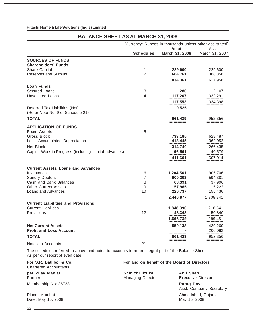# **BALANCE SHEET AS AT MARCH 31, 2008**

|                                                                                                   | (Currency: Rupees in thousands unless otherwise stated) |                           |                         |
|---------------------------------------------------------------------------------------------------|---------------------------------------------------------|---------------------------|-------------------------|
|                                                                                                   | <b>Schedules</b>                                        | As at<br>March 31, 2008   | As at<br>March 31, 2007 |
| <b>SOURCES OF FUNDS</b>                                                                           |                                                         |                           |                         |
| <b>Shareholders' Funds</b>                                                                        |                                                         |                           |                         |
| <b>Share Capital</b>                                                                              | 1                                                       | 229,600                   | 229,600                 |
| Reserves and Surplus                                                                              | 2                                                       | 604,761                   | 388,358                 |
|                                                                                                   |                                                         | 834,361                   | 617,958                 |
| <b>Loan Funds</b>                                                                                 |                                                         |                           |                         |
| Secured Loans                                                                                     | 3                                                       | 286                       | 2,107                   |
| <b>Unsecured Loans</b>                                                                            | 4                                                       | 117,267                   | 332,291                 |
|                                                                                                   |                                                         | 117,553                   | 334,398                 |
| Deferred Tax Liabilities (Net)                                                                    |                                                         | 9,525                     |                         |
| (Refer Note No. 9 of Schedule 21)                                                                 |                                                         |                           |                         |
| <b>TOTAL</b>                                                                                      |                                                         | 961,439                   | 952,356                 |
|                                                                                                   |                                                         |                           |                         |
| <b>APPLICATION OF FUNDS</b>                                                                       |                                                         |                           |                         |
| <b>Fixed Assets</b>                                                                               | 5                                                       |                           |                         |
| Gross Block                                                                                       |                                                         | 733,185                   | 628,487                 |
| Less: Accumulated Depreciation                                                                    |                                                         | 418,445                   | 362,052                 |
| Net Block                                                                                         |                                                         | 314,740                   | 266,435                 |
| Capital Work-in-Progress (including capital advances)                                             |                                                         | 96,561                    | 40,579                  |
|                                                                                                   |                                                         | 411,301                   | 307,014                 |
| <b>Current Assets, Loans and Advances</b>                                                         |                                                         |                           |                         |
| Inventories                                                                                       | 6                                                       | 1,204,561                 | 905,706                 |
| <b>Sundry Debtors</b>                                                                             | 7                                                       | 900,203                   | 594,381                 |
| Cash and Bank Balances                                                                            | 8                                                       | 63,391                    | 37,996                  |
| <b>Other Current Assets</b>                                                                       | 9                                                       | 57,985                    | 15,222                  |
| Loans and Advances                                                                                | 10                                                      | 220,737                   | 155,436                 |
|                                                                                                   |                                                         | 2,446,877                 | 1,708,741               |
| <b>Current Liabilities and Provisions</b>                                                         |                                                         |                           |                         |
| <b>Current Liabilities</b>                                                                        | 11                                                      | 1,848,396                 | 1,218,641               |
| Provisions                                                                                        | 12                                                      | 48,343                    | 50,840                  |
|                                                                                                   |                                                         | 1,896,739                 | 1,269,481               |
| <b>Net Current Assets</b>                                                                         |                                                         | 550,138                   | 439,260                 |
| <b>Profit and Loss Account</b>                                                                    |                                                         |                           | 206,082                 |
| <b>TOTAL</b>                                                                                      |                                                         | 961,439<br>============== | 952,356                 |
| Notes to Accounts                                                                                 | 21                                                      |                           |                         |
| The schedules referred to above and notes to accounts form an integral part of the Balance Sheet. |                                                         |                           |                         |

Chartered Accountants

As per our report of even date

per Vijay Maniar **New York Shinichi Iizuka** Anil Shah Partner **Managing Director** Executive Director Membership No: 36738 **Parag Dave**

Date: May 15, 2008

**For S.R. Batliboi & Co. For and on behalf of the Board of Directors**

Asst. Company Secretary Place: Mumbai <br>
Date: May 15, 2008<br>
Date: May 15, 2008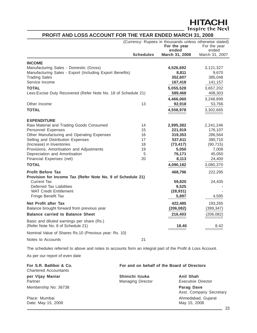# **HITACHI**<br>Inspire the Next

# **PROFIT AND LOSS ACCOUNT FOR THE YEAR ENDED MARCH 31, 2008**

|                                                                                                           |                                             | (Currency: Rupees in thousands unless otherwise stated)<br>For the year<br>ended | For the year<br>ended |
|-----------------------------------------------------------------------------------------------------------|---------------------------------------------|----------------------------------------------------------------------------------|-----------------------|
|                                                                                                           | <b>Schedules</b>                            | March 31, 2008                                                                   | March 31, 2007        |
| <b>INCOME</b>                                                                                             |                                             |                                                                                  |                       |
| Manufacturing Sales - Domestic (Gross)                                                                    |                                             | 4,526,692                                                                        | 3,121,327             |
| Manufacturing Sales - Export (Including Export Benefits)                                                  |                                             | 8,811                                                                            | 9,670                 |
| <b>Trading Sales</b>                                                                                      |                                             | 352,607                                                                          | 385,048               |
| Service Income                                                                                            |                                             | 167,418                                                                          | 141,157               |
| <b>TOTAL</b>                                                                                              |                                             | 5,055,528                                                                        | 3,657,202             |
| Less: Excise Duty Recovered (Refer Note No. 18 of Schedule 21)                                            |                                             | 589,468                                                                          | 408,303               |
|                                                                                                           |                                             | 4,466,060                                                                        | 3,248,899             |
| Other Income                                                                                              | 13                                          | 92,918                                                                           | 53,766                |
| <b>TOTAL</b>                                                                                              |                                             | 4,558,978                                                                        | 3,302,665             |
| <b>EXPENDITURE</b>                                                                                        |                                             |                                                                                  |                       |
| Raw Material and Trading Goods Consumed                                                                   | 14                                          | 2,995,382                                                                        | 2,241,246             |
| Personnel Expenses                                                                                        | 15                                          | 221,919                                                                          | 176,107               |
| Other Manufacturing and Operating Expenses                                                                | 16                                          | 319,353                                                                          | 286,564               |
| Selling and Distribution Expenses<br>(Increase) in Inventories                                            | 17<br>18                                    | 537,611<br>(73, 417)                                                             | 390,710<br>(90, 715)  |
| Provisions, Amortisation and Adjustments                                                                  | 19                                          | 5,050                                                                            | 7,008                 |
| Depreciation and Amortisation                                                                             | 5                                           | 76,171                                                                           | 45,050                |
| Financial Expenses (net)                                                                                  | 20                                          | 8,113                                                                            | 24,400                |
| <b>TOTAL</b>                                                                                              |                                             | 4,090,182                                                                        | 3,080,370             |
| <b>Profit Before Tax</b>                                                                                  |                                             | 468,796                                                                          | 222,295               |
| Provision for Income Tax (Refer Note No. 9 of Schedule 21)                                                |                                             |                                                                                  |                       |
| <b>Current Tax</b><br><b>Deferred Tax Liabilities</b>                                                     |                                             | 59,820                                                                           | 24,435                |
| <b>MAT Credit Entitlement</b>                                                                             |                                             | 9,525<br>(28, 931)                                                               |                       |
| Fringe Benefit Tax                                                                                        |                                             | 5,897                                                                            | 4,595                 |
| Net Profit after Tax                                                                                      |                                             | 422,485                                                                          | 193,265               |
| Balance brought forward from previous year                                                                |                                             | (206, 082)                                                                       | (399, 347)            |
| <b>Balance carried to Balance Sheet</b>                                                                   |                                             | 216,403                                                                          | (206, 082)            |
| Basic and diluted earnings per share (Rs.)<br>(Refer Note No. 8 of Schedule 21)                           |                                             | 18.40                                                                            | 8.42                  |
| Nominal Value of Shares Rs.10 (Previous year: Rs. 10)                                                     |                                             |                                                                                  |                       |
| Notes to Accounts                                                                                         | 21                                          |                                                                                  |                       |
| The schedules referred to above and notes to accounts form an integral part of the Profit & Loss Account. |                                             |                                                                                  |                       |
| As per our report of even date                                                                            |                                             |                                                                                  |                       |
| For S.R. Batliboi & Co.<br>Chartered Accountants                                                          | For and on behalf of the Board of Directors |                                                                                  |                       |

| <b>Chartered Accountants</b>        | י שושטע וש שעושים שווי יש ושטחש ושיוש שווי  |                                        |
|-------------------------------------|---------------------------------------------|----------------------------------------|
| per Vijay Maniar<br>Partner         | Shinichi lizuka<br><b>Managing Director</b> | <b>Anil Shah</b><br>Executive Director |
| Membership No: 36738                |                                             | Parag Dave<br>Asst. Company Secretary  |
| Place: Mumbai<br>Date: May 15, 2008 |                                             | Ahmedabad, Gujarat<br>May 15, 2008     |
|                                     |                                             | 23                                     |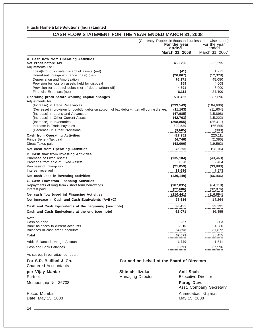# **CASH FLOW STATEMENT FOR THE YEAR ENDED MARCH 31, 2008**

|                                                                                                | (Currency: Rupees in thousands unless otherwise stated) |                 |
|------------------------------------------------------------------------------------------------|---------------------------------------------------------|-----------------|
|                                                                                                | For the year                                            | For the year    |
|                                                                                                | ended                                                   | ended           |
|                                                                                                | March 31, 2008                                          | March 31, 2007  |
| A. Cash flow from Operating Activities                                                         |                                                         |                 |
| Net Profit before Tax                                                                          | 468,796                                                 | 222,295         |
| Adjustments For:                                                                               |                                                         |                 |
| Loss/(Profit) on sale/discard of assets (net)                                                  | (41)                                                    | 1,271           |
| Unrealised foreign exchange (gain) (net)                                                       | (26, 667)                                               | (12, 328)       |
| Depreciation and Amortisation                                                                  | 76,171                                                  | 45,050          |
| Provision for loss on assets held for disposal                                                 | 159                                                     | 4,008           |
| Provision for doubtful debts (net of debts written off)                                        | 4,891                                                   | 3,000<br>24,400 |
| Financial Expenses (net)                                                                       | 8,113                                                   |                 |
| Operating profit before working capital changes                                                | 531,422                                                 | 287,696         |
| Adjustments for:<br>(Increase) in Trade Receivables                                            | (299, 549)                                              | (104, 696)      |
| (Decrease) in provision for doubtful debts on account of bad debts written off during the year | (11, 163)                                               | (11,604)        |
| (Increase) in Loans and Advances                                                               | (47, 985)                                               | (15, 898)       |
| (Increase) in Other Current Assets                                                             | (42, 763)                                               | (15, 222)       |
| (Increase) in Inventories                                                                      | (298, 855)                                              | (86, 411)       |
| Increase in Trade Payables                                                                     | 600,530                                                 | 166,555         |
| (Decrease) in Other Provisions                                                                 | (3,685)                                                 | (309)           |
| <b>Cash from Operating Activities</b>                                                          | 427,952                                                 | 220,111         |
| Fringe Benefit Tax paid                                                                        | (4, 746)                                                | (2, 385)        |
| Direct Taxes paid                                                                              | (48,000)                                                | (19, 562)       |
| Net cash from Operating Activities                                                             | 375,206                                                 | 198,164         |
| <b>B. Cash flow from Investing Activities</b>                                                  |                                                         |                 |
| Purchase of Fixed Assets                                                                       | (135, 104)                                              | (43, 463)       |
| Proceeds from sale of Fixed Assets                                                             | 3,328                                                   | 2,464           |
| Purchase of Intangibles                                                                        | (21, 059)                                               | (33, 880)       |
| Interest received                                                                              | 13,686                                                  | 7,973           |
| Net cash used in investing activities                                                          | (139, 149)                                              | (66, 906)       |
| C. Cash Flow from Financing Activities                                                         |                                                         |                 |
| Repayments of long term / short term borrowings                                                | (187, 835)                                              | (84, 118)       |
| Interest paid                                                                                  | (22, 606)                                               | (32, 876)       |
| Net cash flow (used in) Financing Activities                                                   | (210, 441)                                              | (116, 994)      |
| Net increase in Cash and Cash Equivalents (A+B+C)                                              | 25,616<br>:==========                                   | 14,264          |
| Cash and Cash Equivalents at the beginning (see note)                                          | 36,455                                                  | 22,191          |
| Cash and Cash Equivalents at the end (see note)                                                | 62,071                                                  | 36,455          |
|                                                                                                |                                                         |                 |
| Note:<br>Cash on hand                                                                          |                                                         |                 |
| Bank balances in current accounts                                                              | 257<br>6,916                                            | 303<br>4,280    |
| Balances in cash credit accounts                                                               | 54,898                                                  | 31,872          |
| <b>Total</b>                                                                                   | 62,071                                                  | 36,455          |
|                                                                                                | :========                                               |                 |
| Add:- Balance in margin Accounts                                                               | 1,320                                                   | 1,541           |
| Cash and Bank Balances                                                                         | 63,391<br>==============                                | 37,996          |
| As set out in our attached report                                                              |                                                         |                 |

Chartered Accountants

per Vijay Maniar **New York Shinichi Iizuka** Anil Shah Partner **Managing Director** Executive Director

Date: May 15, 2008

# For S.R. Batliboi & Co. **For and on behalf of the Board of Directors**

Membership No: 36738 **Parag Dave** Asst. Company Secretary Place: Mumbai <br>
Date: May 15, 2008<br>
Date: May 15, 2008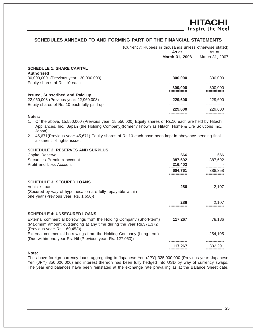**HITACHI** Inspire the Next

# **SCHEDULES ANNEXED TO AND FORMING PART OF THE FINANCIAL STATEMENTS**

|                                            | (Currency: Rupees in thousands unless otherwise stated)<br>As at<br>March 31, 2008 | As at<br>March 31, 2007 |
|--------------------------------------------|------------------------------------------------------------------------------------|-------------------------|
| <b>SCHEDULE 1: SHARE CAPITAL</b>           |                                                                                    |                         |
| <b>Authorised</b>                          |                                                                                    |                         |
| 30,000,000 (Previous year: 30,000,000)     | 300,000                                                                            | 300,000                 |
| Equity shares of Rs. 10 each               |                                                                                    |                         |
|                                            | 300,000                                                                            | 300,000                 |
| <b>Issued, Subscribed and Paid up</b>      |                                                                                    |                         |
| 22,960,008 (Previous year: 22,960,008)     | 229,600                                                                            | 229,600                 |
| Equity shares of Rs. 10 each fully paid up |                                                                                    |                         |
|                                            | 229,600                                                                            | 229,600                 |
| Notes:                                     |                                                                                    |                         |

- 1. Of the above, 15,550,000 (Previous year: 15,550,000) Equity shares of Rs.10 each are held by Hitachi Appliances, Inc., Japan (the Holding Company)(formerly known as Hitachi Home & Life Solutions Inc., Japan).
- 2. 45,671(Previous year: 45,671) Equity shares of Rs.10 each have been kept in abeyance pending final allotment of rights issue.

# **SCHEDULE 2: RESERVES AND SURPLUS**

| <b>Capital Reserve</b>                                                                                                                                                       | 666     | 666     |
|------------------------------------------------------------------------------------------------------------------------------------------------------------------------------|---------|---------|
| Securities Premium account                                                                                                                                                   | 387,692 | 387,692 |
| <b>Profit and Loss Account</b>                                                                                                                                               | 216,403 |         |
|                                                                                                                                                                              | 604,761 | 388,358 |
|                                                                                                                                                                              |         |         |
| <b>SCHEDULE 3: SECURED LOANS</b>                                                                                                                                             |         |         |
| Vehicle Loans                                                                                                                                                                | 286     | 2,107   |
| (Secured by way of hypothecation are fully repayable within<br>one year (Previous year: Rs. 1,656))                                                                          |         |         |
|                                                                                                                                                                              |         |         |
|                                                                                                                                                                              | 286     | 2,107   |
| <b>SCHEDULE 4: UNSECURED LOANS</b>                                                                                                                                           |         |         |
| External commercial borrowings from the Holding Company (Short-term)<br>(Maximum amount outstanding at any time during the year Rs.371,372)<br>(Previous year: Rs. 160,453)) | 117,267 | 78,186  |
| External commercial borrowings from the Holding Company (Long-term)<br>(Due within one year Rs. Nil (Previous year: Rs. 127,053))                                            |         | 254,105 |
|                                                                                                                                                                              | 117,267 | 332,291 |
| Note:                                                                                                                                                                        |         |         |
|                                                                                                                                                                              |         |         |

The above foreign currency loans aggregating to Japanese Yen (JPY) 325,000,000 (Previous year: Japanese Yen (JPY) 850,000,000) and interest thereon has been fully hedged into USD by way of currency swaps. The year end balances have been reinstated at the exchange rate prevailing as at the Balance Sheet date.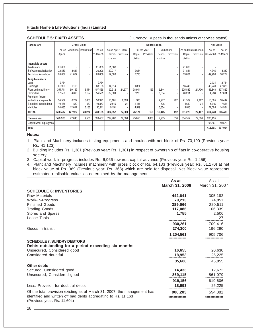**SCHEDULE 5: FIXED ASSETS** (Currency: Rupees in thousands unless otherwise stated)

| <b>Particulars</b>                                                                                                                                                            |                                                                    | <b>Gross Block</b>                                 |                                                   |                                                                    | Depreciation                                            |                       |                                                      | <b>Net Block</b>                |                                         |                    |                                                         |                       |                                                                   |                                                                   |
|-------------------------------------------------------------------------------------------------------------------------------------------------------------------------------|--------------------------------------------------------------------|----------------------------------------------------|---------------------------------------------------|--------------------------------------------------------------------|---------------------------------------------------------|-----------------------|------------------------------------------------------|---------------------------------|-----------------------------------------|--------------------|---------------------------------------------------------|-----------------------|-------------------------------------------------------------------|-------------------------------------------------------------------|
|                                                                                                                                                                               | As on                                                              |                                                    | Additions Deductions                              | As on                                                              |                                                         | As on April 1, 2007   |                                                      | For the year                    |                                         | Deductions         |                                                         | As on March 31, 2008  | As on                                                             | As on                                                             |
|                                                                                                                                                                               | 1-Apr-07                                                           |                                                    |                                                   | 31-Mar-08                                                          |                                                         | Depre-   Provision    | Depre-                                               | Provision                       | Depre-                                  | Provision          | Depre-                                                  | Provision             | 31-Mar-08                                                         | 31-Mar-07                                                         |
|                                                                                                                                                                               |                                                                    |                                                    |                                                   |                                                                    | ciation                                                 |                       | ciation                                              |                                 | ciation                                 |                    | ciation                                                 |                       |                                                                   |                                                                   |
| Intangible assets<br>Trade mark<br>Software capitalisation                                                                                                                    | 21,000<br>32,569                                                   | 3,637                                              | ٠<br>$\overline{\phantom{a}}$                     | 21,000<br>36,206                                                   | 21,000<br>29,217                                        | $\sim$<br>$\sim$      | 2,644                                                |                                 |                                         |                    | 21,000<br>31,861                                        |                       | 4,345                                                             | 3,352                                                             |
| Technical know how                                                                                                                                                            | 28,857                                                             | 41.002                                             | $\overline{a}$                                    | 69,859                                                             | 12,583                                                  | $\overline{a}$        | 7,278                                                |                                 |                                         |                    | 19,861                                                  |                       | 49,998                                                            | 16,274                                                            |
| Tangible assets<br>Land<br><b>Buildings</b><br>Plant and machinery<br>Computers<br>Furniture, fixture<br>and office equipments<br><b>Electrical installations</b><br>Vehicles | 2,734<br>61,993<br>354,711<br>57,550<br>34,502<br>10,486<br>24,085 | 1.195<br>59,169<br>4,098<br>6,227<br>582<br>12,012 | ٠<br>٠<br>6,414<br>7,127<br>3,808<br>689<br>5,186 | 2,734<br>63,188<br>407,466<br>54,521<br>36,921<br>10.379<br>30,911 | 14.614<br>192,312<br>39,669<br>13,161<br>2,845<br>9,151 | 24,577<br>2,899<br>24 | 1,834<br>38,914<br>7,226<br>11,325<br>2.431<br>4,519 | 159<br>$\overline{\phantom{a}}$ | 5,344<br>6,634<br>2,977<br>636<br>3,854 | ٠<br>٠<br>۰<br>492 | 16,448<br>225,882<br>40,261<br>21,509<br>4,640<br>9,816 | 24,736<br>2,407<br>24 | 2,734<br>46,740<br>156,848<br>14,260<br>13,005<br>5,715<br>21,095 | 2,734<br>47,379<br>137,822<br>17,881<br>18,442<br>7,617<br>14,934 |
| <b>TOTAL</b>                                                                                                                                                                  | 628,487                                                            | 127,922                                            | 23,224                                            | 733,185                                                            | 334,552                                                 | 27,500                | 76,171                                               | 159                             | 19,445                                  | 492                | 391,278                                                 | 27,167                | 314,740                                                           | 266,435                                                           |
| Previous year                                                                                                                                                                 | 590,980                                                            | 47,043                                             | 9,536                                             | 628,487                                                            | 294,487                                                 | 24,308                | 45,050                                               | 4,008                           | 4,985                                   | 816                | 334,552                                                 | 27,500                | 266,435                                                           |                                                                   |
| Capital work in progress                                                                                                                                                      |                                                                    |                                                    |                                                   |                                                                    |                                                         |                       |                                                      |                                 |                                         |                    |                                                         |                       | 96,561                                                            | 40,579                                                            |
| <b>Total</b>                                                                                                                                                                  |                                                                    |                                                    |                                                   |                                                                    |                                                         |                       |                                                      |                                 |                                         |                    |                                                         |                       | 411,301                                                           | 307,014                                                           |

### **Notes:**

1. Plant and Machinery includes testing equipments and moulds with net block of Rs. 70,190 (Previous year: Rs. 41,123).

- 2. Building includes Rs. 1,381 (Previous year: Rs. 1,381) in respect of ownership of flats in co-operative housing society.
- 3. Capital work in progress includes Rs. 6,966 towards capital advance (Previous year Rs. 1,456).
- 4. Plant and Machinery includes machinery with gross block of Rs. 64,133 (Previous year: Rs. 61,170) at net block value of Rs. 369 (Previous year: Rs. 368) which are held for disposal. Net Block value represents estimated realisable value, as determined by the management.

|                                                                                               | As at          | As at          |
|-----------------------------------------------------------------------------------------------|----------------|----------------|
|                                                                                               | March 31, 2008 | March 31, 2007 |
| <b>SCHEDULE 6: INVENTORIES</b>                                                                |                |                |
| <b>Raw Materials</b>                                                                          | 442,641        | 305,182        |
| Work-in-Progress                                                                              | 79.213         | 74,851         |
| <b>Finished Goods</b>                                                                         | 289.566        | 220,511        |
| <b>Trading Goods</b>                                                                          | 117,086        | 106,339        |
| Stores and Spares                                                                             | 1,755          | 2,506          |
| Loose Tools                                                                                   |                | 27             |
|                                                                                               | 930,261        | 709,416        |
| Goods in transit                                                                              | 274,300        | 196,290        |
|                                                                                               | 1,204,561      | 905,706        |
| <b>SCHEDULE 7: SUNDRY DEBTORS</b>                                                             |                |                |
| Debts outstanding for a period exceeding six months                                           |                |                |
| Unsecured, Considered good                                                                    | 16,655         | 20,630         |
| Considered doubtful                                                                           | 18,953         | 25,225         |
|                                                                                               | 35,608         | 45,855         |
| Other debts                                                                                   |                |                |
| Secured, Considered good                                                                      | 14,433         | 12,672         |
| Unsecured, Considered good                                                                    | 869,115        | 561,079        |
|                                                                                               | 919,156        | 619,606        |
| Less: Provision for doubtful debts                                                            | 18,953         | 25,225         |
| Of the total provision existing as at March 31, 2007, the management has                      | 900,203        | 594,381        |
| identified and written off bad debts aggregating to Rs. 11,163<br>(Previous year: Rs. 11,604) |                |                |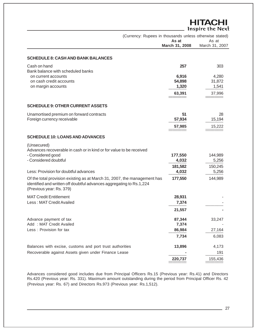|                                                                                                                                                                              |                | <b>HITACHI</b><br>Inspire the Next |
|------------------------------------------------------------------------------------------------------------------------------------------------------------------------------|----------------|------------------------------------|
| (Currency: Rupees in thousands unless otherwise stated)                                                                                                                      | As at          | As at                              |
|                                                                                                                                                                              | March 31, 2008 | March 31, 2007                     |
| <b>SCHEDULE 8: CASH AND BANK BALANCES</b>                                                                                                                                    |                |                                    |
| Cash on hand                                                                                                                                                                 | 257            | 303                                |
| Bank balance with scheduled banks<br>on current accounts                                                                                                                     | 6,916          | 4,280                              |
| on cash credit accounts                                                                                                                                                      | 54,898         | 31,872                             |
| on margin accounts                                                                                                                                                           | 1,320          | 1,541                              |
|                                                                                                                                                                              |                |                                    |
|                                                                                                                                                                              | 63,391         | 37,996                             |
| <b>SCHEDULE 9: OTHER CURRENT ASSETS</b>                                                                                                                                      |                |                                    |
|                                                                                                                                                                              | 51             |                                    |
| Unamortised premium on forward contracts<br>Foreign currency receivable                                                                                                      | 57,934         | 28<br>15,194                       |
|                                                                                                                                                                              |                |                                    |
|                                                                                                                                                                              | 57,985         | 15,222                             |
| <b>SCHEDULE 10: LOANS AND ADVANCES</b>                                                                                                                                       |                |                                    |
| (Unsecured)<br>Advances recoverable in cash or in kind or for value to be received<br>- Considered good                                                                      | 177,550        | 144,989                            |
| - Considered doubtful                                                                                                                                                        | 4,032          | 5,256                              |
|                                                                                                                                                                              | 181,582        | 150,245                            |
| Less: Provision for doubtful advances                                                                                                                                        | 4,032          | 5,256                              |
| Of the total provision existing as at March 31, 2007, the management has<br>identified and written off doubtful advances aggregating to Rs.1,224<br>(Previous year: Rs. 379) | 177,550        | 144,989                            |
| <b>MAT Credit Entitlement</b>                                                                                                                                                | 28,931         |                                    |
| Less: MAT Credit Availed                                                                                                                                                     | 7,374          |                                    |
|                                                                                                                                                                              | 21,557         |                                    |
|                                                                                                                                                                              |                |                                    |
| Advance payment of tax                                                                                                                                                       | 87,344         | 33,247                             |
| Add: MAT Credit Availed                                                                                                                                                      | 7,374          |                                    |
| Less: Provision for tax                                                                                                                                                      | 86,984         | 27,164                             |
|                                                                                                                                                                              | 7,734          | 6,083                              |
| Balances with excise, customs and port trust authorities                                                                                                                     | 13,896         | 4,173                              |
| Recoverable against Assets given under Finance Lease                                                                                                                         |                | 191                                |
|                                                                                                                                                                              | 220,737        | 155,436                            |

Advances considered good includes due from Principal Officers Rs.15 (Previous year: Rs.41) and Directors Rs.420 (Previous year: Rs. 331). Maximum amount outstanding during the period from Principal Officer Rs. 42 (Previous year: Rs. 67) and Directors Rs.973 (Previous year: Rs.1,512).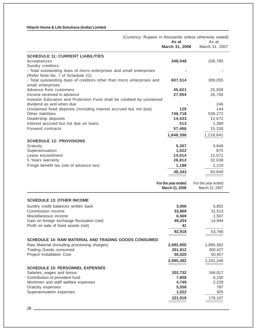| March 31, 2008<br>March 31, 2007<br><b>SCHEDULE 11: CURRENT LIABILITIES</b><br>348,048<br>208,785<br>Acceptances<br>Sundry creditors:<br>- Total outstanding dues of micro enterprises and small enterprises<br>(Refer Note No. 7 of Schedule 21)<br>- Total outstanding dues of creditors other than micro enterprises and<br>607,514<br>389,055<br>small enterprises<br>Advance from customers<br>45,621<br>25,008<br>Income received in advance<br>27,954<br>26,740<br>Investor Education and Protection Fund shall be credited by unclaimed<br>dividend as and when due<br>246<br>Unclaimed fixed deposits (including interest accrued but not due)<br>144<br>129<br>Other liabilities<br>746,718<br>539,272<br>Dealership deposits<br>14,433<br>12,672<br>Interest accrued but not due on loans<br>513<br>1,389<br>Forward contracts<br>15,330<br>57,466<br>1,848,396<br>1,218,641<br><b>SCHEDULE 12: PROVISIONS</b><br>Gratuity<br>5,307<br>4,646<br>Superannuation<br>1,022<br>875<br>Leave encashment<br>14,014<br>11,071<br>26,812<br>5 Years warranty<br>32,038<br>1,188<br>2,210<br>Fringe benefit tax (net of advance tax)<br>48,343<br>50,840<br>------------<br>For the year ended<br>For the year ended<br>March 31, 2008<br>March 31, 2007<br><b>SCHEDULE 13: OTHER INCOME</b><br>3,006<br>Sundry credit balances written back<br>5,802<br>Commission income<br>31,513<br>33,868<br>Miscellaneous income<br>6,569<br>1,507<br>49,434<br>14,944<br>Gain on foreign exchange fluctuation (net)<br>Profit on sale of fixed assets (net)<br>41<br>53,766<br>92,918<br><b>SCHEDULE 14: RAW MATERIAL AND TRADING GOODS CONSUMED</b><br>Raw Material (including processing charges)<br>2,692,950<br>1,890,362<br><b>Trading Goods consumed</b><br>251,912<br>300,427<br>Project Installation Cost<br>50,520<br>50,457<br>2,995,382<br>2,241,246<br>=============<br><b>SCHEDULE 15: PERSONNEL EXPENSES</b><br>Salaries, wages and bonus<br>202,732<br>166,017<br>Contribution to provident fund<br>7,858<br>6,150<br>Workmen and staff welfare expenses<br>4,749<br>2,228<br>787<br>Gratuity expenses<br>5,558<br>Superannuation expenses<br>925<br>1,022<br>221,919<br>176,107 |  |       | (Currency: Rupees in thousands unless otherwise stated) |
|------------------------------------------------------------------------------------------------------------------------------------------------------------------------------------------------------------------------------------------------------------------------------------------------------------------------------------------------------------------------------------------------------------------------------------------------------------------------------------------------------------------------------------------------------------------------------------------------------------------------------------------------------------------------------------------------------------------------------------------------------------------------------------------------------------------------------------------------------------------------------------------------------------------------------------------------------------------------------------------------------------------------------------------------------------------------------------------------------------------------------------------------------------------------------------------------------------------------------------------------------------------------------------------------------------------------------------------------------------------------------------------------------------------------------------------------------------------------------------------------------------------------------------------------------------------------------------------------------------------------------------------------------------------------------------------------------------------------------------------------------------------------------------------------------------------------------------------------------------------------------------------------------------------------------------------------------------------------------------------------------------------------------------------------------------------------------------------------------------------------------------------------------------------------------------------|--|-------|---------------------------------------------------------|
|                                                                                                                                                                                                                                                                                                                                                                                                                                                                                                                                                                                                                                                                                                                                                                                                                                                                                                                                                                                                                                                                                                                                                                                                                                                                                                                                                                                                                                                                                                                                                                                                                                                                                                                                                                                                                                                                                                                                                                                                                                                                                                                                                                                          |  | As at | As at                                                   |
|                                                                                                                                                                                                                                                                                                                                                                                                                                                                                                                                                                                                                                                                                                                                                                                                                                                                                                                                                                                                                                                                                                                                                                                                                                                                                                                                                                                                                                                                                                                                                                                                                                                                                                                                                                                                                                                                                                                                                                                                                                                                                                                                                                                          |  |       |                                                         |
|                                                                                                                                                                                                                                                                                                                                                                                                                                                                                                                                                                                                                                                                                                                                                                                                                                                                                                                                                                                                                                                                                                                                                                                                                                                                                                                                                                                                                                                                                                                                                                                                                                                                                                                                                                                                                                                                                                                                                                                                                                                                                                                                                                                          |  |       |                                                         |
|                                                                                                                                                                                                                                                                                                                                                                                                                                                                                                                                                                                                                                                                                                                                                                                                                                                                                                                                                                                                                                                                                                                                                                                                                                                                                                                                                                                                                                                                                                                                                                                                                                                                                                                                                                                                                                                                                                                                                                                                                                                                                                                                                                                          |  |       |                                                         |
|                                                                                                                                                                                                                                                                                                                                                                                                                                                                                                                                                                                                                                                                                                                                                                                                                                                                                                                                                                                                                                                                                                                                                                                                                                                                                                                                                                                                                                                                                                                                                                                                                                                                                                                                                                                                                                                                                                                                                                                                                                                                                                                                                                                          |  |       |                                                         |
|                                                                                                                                                                                                                                                                                                                                                                                                                                                                                                                                                                                                                                                                                                                                                                                                                                                                                                                                                                                                                                                                                                                                                                                                                                                                                                                                                                                                                                                                                                                                                                                                                                                                                                                                                                                                                                                                                                                                                                                                                                                                                                                                                                                          |  |       |                                                         |
|                                                                                                                                                                                                                                                                                                                                                                                                                                                                                                                                                                                                                                                                                                                                                                                                                                                                                                                                                                                                                                                                                                                                                                                                                                                                                                                                                                                                                                                                                                                                                                                                                                                                                                                                                                                                                                                                                                                                                                                                                                                                                                                                                                                          |  |       |                                                         |
|                                                                                                                                                                                                                                                                                                                                                                                                                                                                                                                                                                                                                                                                                                                                                                                                                                                                                                                                                                                                                                                                                                                                                                                                                                                                                                                                                                                                                                                                                                                                                                                                                                                                                                                                                                                                                                                                                                                                                                                                                                                                                                                                                                                          |  |       |                                                         |
|                                                                                                                                                                                                                                                                                                                                                                                                                                                                                                                                                                                                                                                                                                                                                                                                                                                                                                                                                                                                                                                                                                                                                                                                                                                                                                                                                                                                                                                                                                                                                                                                                                                                                                                                                                                                                                                                                                                                                                                                                                                                                                                                                                                          |  |       |                                                         |
|                                                                                                                                                                                                                                                                                                                                                                                                                                                                                                                                                                                                                                                                                                                                                                                                                                                                                                                                                                                                                                                                                                                                                                                                                                                                                                                                                                                                                                                                                                                                                                                                                                                                                                                                                                                                                                                                                                                                                                                                                                                                                                                                                                                          |  |       |                                                         |
|                                                                                                                                                                                                                                                                                                                                                                                                                                                                                                                                                                                                                                                                                                                                                                                                                                                                                                                                                                                                                                                                                                                                                                                                                                                                                                                                                                                                                                                                                                                                                                                                                                                                                                                                                                                                                                                                                                                                                                                                                                                                                                                                                                                          |  |       |                                                         |
|                                                                                                                                                                                                                                                                                                                                                                                                                                                                                                                                                                                                                                                                                                                                                                                                                                                                                                                                                                                                                                                                                                                                                                                                                                                                                                                                                                                                                                                                                                                                                                                                                                                                                                                                                                                                                                                                                                                                                                                                                                                                                                                                                                                          |  |       |                                                         |
|                                                                                                                                                                                                                                                                                                                                                                                                                                                                                                                                                                                                                                                                                                                                                                                                                                                                                                                                                                                                                                                                                                                                                                                                                                                                                                                                                                                                                                                                                                                                                                                                                                                                                                                                                                                                                                                                                                                                                                                                                                                                                                                                                                                          |  |       |                                                         |
|                                                                                                                                                                                                                                                                                                                                                                                                                                                                                                                                                                                                                                                                                                                                                                                                                                                                                                                                                                                                                                                                                                                                                                                                                                                                                                                                                                                                                                                                                                                                                                                                                                                                                                                                                                                                                                                                                                                                                                                                                                                                                                                                                                                          |  |       |                                                         |
|                                                                                                                                                                                                                                                                                                                                                                                                                                                                                                                                                                                                                                                                                                                                                                                                                                                                                                                                                                                                                                                                                                                                                                                                                                                                                                                                                                                                                                                                                                                                                                                                                                                                                                                                                                                                                                                                                                                                                                                                                                                                                                                                                                                          |  |       |                                                         |
|                                                                                                                                                                                                                                                                                                                                                                                                                                                                                                                                                                                                                                                                                                                                                                                                                                                                                                                                                                                                                                                                                                                                                                                                                                                                                                                                                                                                                                                                                                                                                                                                                                                                                                                                                                                                                                                                                                                                                                                                                                                                                                                                                                                          |  |       |                                                         |
|                                                                                                                                                                                                                                                                                                                                                                                                                                                                                                                                                                                                                                                                                                                                                                                                                                                                                                                                                                                                                                                                                                                                                                                                                                                                                                                                                                                                                                                                                                                                                                                                                                                                                                                                                                                                                                                                                                                                                                                                                                                                                                                                                                                          |  |       |                                                         |
|                                                                                                                                                                                                                                                                                                                                                                                                                                                                                                                                                                                                                                                                                                                                                                                                                                                                                                                                                                                                                                                                                                                                                                                                                                                                                                                                                                                                                                                                                                                                                                                                                                                                                                                                                                                                                                                                                                                                                                                                                                                                                                                                                                                          |  |       |                                                         |
|                                                                                                                                                                                                                                                                                                                                                                                                                                                                                                                                                                                                                                                                                                                                                                                                                                                                                                                                                                                                                                                                                                                                                                                                                                                                                                                                                                                                                                                                                                                                                                                                                                                                                                                                                                                                                                                                                                                                                                                                                                                                                                                                                                                          |  |       |                                                         |
|                                                                                                                                                                                                                                                                                                                                                                                                                                                                                                                                                                                                                                                                                                                                                                                                                                                                                                                                                                                                                                                                                                                                                                                                                                                                                                                                                                                                                                                                                                                                                                                                                                                                                                                                                                                                                                                                                                                                                                                                                                                                                                                                                                                          |  |       |                                                         |
|                                                                                                                                                                                                                                                                                                                                                                                                                                                                                                                                                                                                                                                                                                                                                                                                                                                                                                                                                                                                                                                                                                                                                                                                                                                                                                                                                                                                                                                                                                                                                                                                                                                                                                                                                                                                                                                                                                                                                                                                                                                                                                                                                                                          |  |       |                                                         |
|                                                                                                                                                                                                                                                                                                                                                                                                                                                                                                                                                                                                                                                                                                                                                                                                                                                                                                                                                                                                                                                                                                                                                                                                                                                                                                                                                                                                                                                                                                                                                                                                                                                                                                                                                                                                                                                                                                                                                                                                                                                                                                                                                                                          |  |       |                                                         |
|                                                                                                                                                                                                                                                                                                                                                                                                                                                                                                                                                                                                                                                                                                                                                                                                                                                                                                                                                                                                                                                                                                                                                                                                                                                                                                                                                                                                                                                                                                                                                                                                                                                                                                                                                                                                                                                                                                                                                                                                                                                                                                                                                                                          |  |       |                                                         |
|                                                                                                                                                                                                                                                                                                                                                                                                                                                                                                                                                                                                                                                                                                                                                                                                                                                                                                                                                                                                                                                                                                                                                                                                                                                                                                                                                                                                                                                                                                                                                                                                                                                                                                                                                                                                                                                                                                                                                                                                                                                                                                                                                                                          |  |       |                                                         |
|                                                                                                                                                                                                                                                                                                                                                                                                                                                                                                                                                                                                                                                                                                                                                                                                                                                                                                                                                                                                                                                                                                                                                                                                                                                                                                                                                                                                                                                                                                                                                                                                                                                                                                                                                                                                                                                                                                                                                                                                                                                                                                                                                                                          |  |       |                                                         |
|                                                                                                                                                                                                                                                                                                                                                                                                                                                                                                                                                                                                                                                                                                                                                                                                                                                                                                                                                                                                                                                                                                                                                                                                                                                                                                                                                                                                                                                                                                                                                                                                                                                                                                                                                                                                                                                                                                                                                                                                                                                                                                                                                                                          |  |       |                                                         |
|                                                                                                                                                                                                                                                                                                                                                                                                                                                                                                                                                                                                                                                                                                                                                                                                                                                                                                                                                                                                                                                                                                                                                                                                                                                                                                                                                                                                                                                                                                                                                                                                                                                                                                                                                                                                                                                                                                                                                                                                                                                                                                                                                                                          |  |       |                                                         |
|                                                                                                                                                                                                                                                                                                                                                                                                                                                                                                                                                                                                                                                                                                                                                                                                                                                                                                                                                                                                                                                                                                                                                                                                                                                                                                                                                                                                                                                                                                                                                                                                                                                                                                                                                                                                                                                                                                                                                                                                                                                                                                                                                                                          |  |       |                                                         |
|                                                                                                                                                                                                                                                                                                                                                                                                                                                                                                                                                                                                                                                                                                                                                                                                                                                                                                                                                                                                                                                                                                                                                                                                                                                                                                                                                                                                                                                                                                                                                                                                                                                                                                                                                                                                                                                                                                                                                                                                                                                                                                                                                                                          |  |       |                                                         |
|                                                                                                                                                                                                                                                                                                                                                                                                                                                                                                                                                                                                                                                                                                                                                                                                                                                                                                                                                                                                                                                                                                                                                                                                                                                                                                                                                                                                                                                                                                                                                                                                                                                                                                                                                                                                                                                                                                                                                                                                                                                                                                                                                                                          |  |       |                                                         |
|                                                                                                                                                                                                                                                                                                                                                                                                                                                                                                                                                                                                                                                                                                                                                                                                                                                                                                                                                                                                                                                                                                                                                                                                                                                                                                                                                                                                                                                                                                                                                                                                                                                                                                                                                                                                                                                                                                                                                                                                                                                                                                                                                                                          |  |       |                                                         |
|                                                                                                                                                                                                                                                                                                                                                                                                                                                                                                                                                                                                                                                                                                                                                                                                                                                                                                                                                                                                                                                                                                                                                                                                                                                                                                                                                                                                                                                                                                                                                                                                                                                                                                                                                                                                                                                                                                                                                                                                                                                                                                                                                                                          |  |       |                                                         |
|                                                                                                                                                                                                                                                                                                                                                                                                                                                                                                                                                                                                                                                                                                                                                                                                                                                                                                                                                                                                                                                                                                                                                                                                                                                                                                                                                                                                                                                                                                                                                                                                                                                                                                                                                                                                                                                                                                                                                                                                                                                                                                                                                                                          |  |       |                                                         |
|                                                                                                                                                                                                                                                                                                                                                                                                                                                                                                                                                                                                                                                                                                                                                                                                                                                                                                                                                                                                                                                                                                                                                                                                                                                                                                                                                                                                                                                                                                                                                                                                                                                                                                                                                                                                                                                                                                                                                                                                                                                                                                                                                                                          |  |       |                                                         |
|                                                                                                                                                                                                                                                                                                                                                                                                                                                                                                                                                                                                                                                                                                                                                                                                                                                                                                                                                                                                                                                                                                                                                                                                                                                                                                                                                                                                                                                                                                                                                                                                                                                                                                                                                                                                                                                                                                                                                                                                                                                                                                                                                                                          |  |       |                                                         |
|                                                                                                                                                                                                                                                                                                                                                                                                                                                                                                                                                                                                                                                                                                                                                                                                                                                                                                                                                                                                                                                                                                                                                                                                                                                                                                                                                                                                                                                                                                                                                                                                                                                                                                                                                                                                                                                                                                                                                                                                                                                                                                                                                                                          |  |       |                                                         |
|                                                                                                                                                                                                                                                                                                                                                                                                                                                                                                                                                                                                                                                                                                                                                                                                                                                                                                                                                                                                                                                                                                                                                                                                                                                                                                                                                                                                                                                                                                                                                                                                                                                                                                                                                                                                                                                                                                                                                                                                                                                                                                                                                                                          |  |       |                                                         |
|                                                                                                                                                                                                                                                                                                                                                                                                                                                                                                                                                                                                                                                                                                                                                                                                                                                                                                                                                                                                                                                                                                                                                                                                                                                                                                                                                                                                                                                                                                                                                                                                                                                                                                                                                                                                                                                                                                                                                                                                                                                                                                                                                                                          |  |       |                                                         |
|                                                                                                                                                                                                                                                                                                                                                                                                                                                                                                                                                                                                                                                                                                                                                                                                                                                                                                                                                                                                                                                                                                                                                                                                                                                                                                                                                                                                                                                                                                                                                                                                                                                                                                                                                                                                                                                                                                                                                                                                                                                                                                                                                                                          |  |       |                                                         |
|                                                                                                                                                                                                                                                                                                                                                                                                                                                                                                                                                                                                                                                                                                                                                                                                                                                                                                                                                                                                                                                                                                                                                                                                                                                                                                                                                                                                                                                                                                                                                                                                                                                                                                                                                                                                                                                                                                                                                                                                                                                                                                                                                                                          |  |       |                                                         |
|                                                                                                                                                                                                                                                                                                                                                                                                                                                                                                                                                                                                                                                                                                                                                                                                                                                                                                                                                                                                                                                                                                                                                                                                                                                                                                                                                                                                                                                                                                                                                                                                                                                                                                                                                                                                                                                                                                                                                                                                                                                                                                                                                                                          |  |       |                                                         |
|                                                                                                                                                                                                                                                                                                                                                                                                                                                                                                                                                                                                                                                                                                                                                                                                                                                                                                                                                                                                                                                                                                                                                                                                                                                                                                                                                                                                                                                                                                                                                                                                                                                                                                                                                                                                                                                                                                                                                                                                                                                                                                                                                                                          |  |       |                                                         |
|                                                                                                                                                                                                                                                                                                                                                                                                                                                                                                                                                                                                                                                                                                                                                                                                                                                                                                                                                                                                                                                                                                                                                                                                                                                                                                                                                                                                                                                                                                                                                                                                                                                                                                                                                                                                                                                                                                                                                                                                                                                                                                                                                                                          |  |       |                                                         |
|                                                                                                                                                                                                                                                                                                                                                                                                                                                                                                                                                                                                                                                                                                                                                                                                                                                                                                                                                                                                                                                                                                                                                                                                                                                                                                                                                                                                                                                                                                                                                                                                                                                                                                                                                                                                                                                                                                                                                                                                                                                                                                                                                                                          |  |       |                                                         |
|                                                                                                                                                                                                                                                                                                                                                                                                                                                                                                                                                                                                                                                                                                                                                                                                                                                                                                                                                                                                                                                                                                                                                                                                                                                                                                                                                                                                                                                                                                                                                                                                                                                                                                                                                                                                                                                                                                                                                                                                                                                                                                                                                                                          |  |       |                                                         |
|                                                                                                                                                                                                                                                                                                                                                                                                                                                                                                                                                                                                                                                                                                                                                                                                                                                                                                                                                                                                                                                                                                                                                                                                                                                                                                                                                                                                                                                                                                                                                                                                                                                                                                                                                                                                                                                                                                                                                                                                                                                                                                                                                                                          |  |       |                                                         |
|                                                                                                                                                                                                                                                                                                                                                                                                                                                                                                                                                                                                                                                                                                                                                                                                                                                                                                                                                                                                                                                                                                                                                                                                                                                                                                                                                                                                                                                                                                                                                                                                                                                                                                                                                                                                                                                                                                                                                                                                                                                                                                                                                                                          |  |       |                                                         |
|                                                                                                                                                                                                                                                                                                                                                                                                                                                                                                                                                                                                                                                                                                                                                                                                                                                                                                                                                                                                                                                                                                                                                                                                                                                                                                                                                                                                                                                                                                                                                                                                                                                                                                                                                                                                                                                                                                                                                                                                                                                                                                                                                                                          |  |       |                                                         |
|                                                                                                                                                                                                                                                                                                                                                                                                                                                                                                                                                                                                                                                                                                                                                                                                                                                                                                                                                                                                                                                                                                                                                                                                                                                                                                                                                                                                                                                                                                                                                                                                                                                                                                                                                                                                                                                                                                                                                                                                                                                                                                                                                                                          |  |       |                                                         |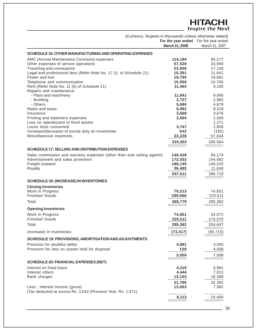# **HITACHI**<br>Inspire the Next

| (Currency: Rupees in thousands unless otherwise stated)                 |                                       |                          |
|-------------------------------------------------------------------------|---------------------------------------|--------------------------|
|                                                                         | For the year ended For the year ended |                          |
|                                                                         | March 31, 2008                        | March 31, 2007           |
| SCHEDULE 16: OTHER MANUFACTURING AND OPERATING EXPENSES                 |                                       |                          |
| AMC (Annual Maintenance Contracts) expenses                             | 114,184                               | 90,277                   |
| Other expenses of service operations                                    | 57,528                                | 33,900                   |
| Travelling and conveyance                                               | 23,908                                | 17,106                   |
| Legal and professional fees (Refer Note No. 17 (i) of Schedule 21)      | 10,391                                | 11,641                   |
| Power and fuel                                                          | 19,795                                | 19,881                   |
| Telephone and communication                                             | 10,950                                | 10,766                   |
| Rent (Refer Note No. 11 (b) of Schedule 21)                             | 11,463                                | 9,100                    |
| Repairs and maintenance                                                 |                                       |                          |
| - Plant and machinery                                                   | 11,841                                | 9,890                    |
| - Building<br>- Others                                                  | 2,727                                 | 2,982                    |
| Rates and taxes                                                         | 5,684<br>6,992                        | 4,879<br>8,316           |
| Insurance                                                               | 3,669                                 | 3,676                    |
| Printing and stationery expenses                                        | 2,604                                 | 2,569                    |
| Loss on sale/discard of fixed assets                                    |                                       | 1,271                    |
| Loose tools consumed                                                    | 3,747                                 | 2,858                    |
| Increase/(decrease) of excise duty on inventories                       | 642                                   | (192)                    |
| Miscellaneous expenses                                                  | 33,228                                | 57,644                   |
|                                                                         | 319,353                               | 286,564                  |
|                                                                         | ==============                        | --------------           |
| <b>SCHEDULE 17: SELLING AND DISTRIBUTION EXPENSES</b>                   |                                       |                          |
| Sales commission and warranty expenses (other than sole selling agents) | 140,428                               | 94,174                   |
| Advertisement and sales promotion                                       | 172,553                               | 144,662                  |
| Freight outward<br>Royalty                                              | 188,145<br>36,485                     | 140,225<br>11,649        |
|                                                                         |                                       |                          |
|                                                                         | 537,611                               | 390,710                  |
| <b>SCHEDULE 18: (INCREASE) IN INVENTORIES</b>                           |                                       |                          |
| <b>Closing Inventories</b>                                              |                                       |                          |
| Work in Progress                                                        | 79,213                                | 74,851                   |
| <b>Finished Goods</b>                                                   | 289,566                               | 220,511                  |
| Total                                                                   | 368,779                               | 295,362                  |
| <b>Opening Inventories</b>                                              |                                       |                          |
| Work in Progress                                                        | 74,851                                | 34,072                   |
| <b>Finished Goods</b>                                                   | 220,511                               | 170,575                  |
| Total                                                                   | 295,362                               | 204,647                  |
|                                                                         |                                       |                          |
| (Increase) in Inventories                                               | (73, 417)                             | (90, 715)                |
| <b>SCHEDULE 19: PROVISIONS, AMORTISATION AND ADJUSTMENTS</b>            |                                       |                          |
| Provision for doubtful debts                                            | 4,891                                 | 3,000                    |
| Provision for loss on assets held for disposal                          | 159                                   | 4,008                    |
|                                                                         | 5,050                                 | 7,008                    |
| <b>SCHEDULE 20: FINANCIAL EXPENSES (NET)</b>                            | :::::::::::::                         | ==============           |
| Interest on fixed loans                                                 | 4,219                                 | 6,981                    |
| Interest others                                                         | 4,444                                 | 7,012                    |
| Bank charges                                                            | 13,103                                | 18,389                   |
|                                                                         | 21,766                                | 32,382                   |
| Less: Interest income (gross)                                           | 13,653                                | 7,982                    |
| (Tax deducted at source Rs. 3,042 (Previous Year: Rs. 1,671)            |                                       |                          |
|                                                                         | 8,113                                 | --------------<br>24,400 |
|                                                                         | ===============                       |                          |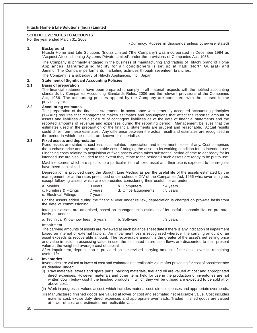#### **SCHEDULE 21: NOTES TO ACCOUNTS**

For the year ended March 31, 2008

(Currency: Rupees in thousands unless otherwise stated)

### **1. Background**

Hitachi Home and Life Solutions (India) Limited ('the Company') was incorporated in December 1984 as "Acquest Air conditioning Systems Private Limited" under the provisions of Companies Act, 1956.

The Company is primarily engaged in the business of manufacturing and trading of Hitachi brand of Home Appliances. Manufacturing facility for air conditioners is set up at Kadi (North Gujarat) and Jammu. The Company performs its marketing activities through seventeen branches.

The Company is a subsidiary of Hitachi Appliances, Inc., Japan.

#### **2. Statement of Significant Accounting Policies**

#### **2.1 Basis of preparation**

The financial statements have been prepared to comply in all material respects with the notified accounting standards by Companies Accounting Standards Rules, 2006 and the relevant provisions of the Companies Act, 1956. The accounting policies applied by the Company are consistent with those used in the previous year.

### **2.2 Accounting estimates**

The preparation of the financial statements in accordance with generally accepted accounting principles ('GAAP') requires that management makes estimates and assumptions that affect the reported amount of assets and liabilities and disclosure of contingent liabilities as of the date of financial statements and the reported amounts of revenue and expenses during the reporting period. Management believes that the estimates used in the preparation of the financial statements are prudent and reasonable. Actual results could differ from these estimates. Any difference between the actual result and estimates are recognised in the period in which the results are known or materialise.

#### **2.3 Fixed assets and depreciation**

Fixed assets are stated at cost less accumulated depreciation and impairment losses, if any. Cost comprises the purchase price and any attributable cost of bringing the asset to its working condition for its intended use. Financing costs relating to acquisition of fixed assets which takes substantial period of time to get ready for its intended use are also included to the extent they relate to the period till such assets are ready to be put to use.

Machine spares which are specific to a particular item of fixed asset and their use is expected to be irregular have been capitalized.

Depreciation is provided using the Straight Line Method as per the useful life of the assets estimated by the management, or at the rates prescribed under schedule XIV of the Companies Act, 1956 whichever is higher, except following assets which are depreciated considering their useful life as under:

| a. Moulds               | : 3 years | b. Computers         | : 4 years |
|-------------------------|-----------|----------------------|-----------|
| c. Furniture & Fittings | : 7 years | d. Office Equipments | : 5 years |
| e. Electrical Fittings  | : 7 years |                      |           |

For the assets added during the financial year under review, depreciation is charged on pro-rata basis from the date of commissioning.

Intangible assets are amortised, based on management's estimate of its useful economic life, on pro-rata basis as under :

a. Technical Know-how fees : 5 years b. Software : 3 years

#### Impairment

The carrying amounts of assets are reviewed at each balance sheet date if there is any indication of impairment based on internal or external factors. An impairment loss is recognised wherever the carrying amount of an asset exceeds its recoverable amount. The recoverable amount is the greater of the asset's net selling price and value in use. In assessing value in use, the estimated future cash flows are discounted to their present value at the weighted average cost of capital.

After impairment, depreciation is provided on the revised carrying amount of the asset over its remaining useful life.

#### **2.4 Inventories**

Inventories are valued at lower of cost and estimated net realisable value after providing for cost of obsolescence as detailed under:

- (i) Raw materials, stores and spare parts, packing materials, fuel and oil are valued at cost and appropriated direct expenses. However, materials and other items held for use in the production of inventories are not written down below cost if the finished products in which they will be utilised are expected to be sold at or above cost.
- (ii) Work in progress is valued at cost, which includes material cost, direct expenses and appropriate overheads.
- (iii) Manufactured finished goods are valued at lower of cost and estimated net realisable value. Cost includes material cost, excise duty, direct expenses and appropriate overheads. Traded finished goods are valued at lower of cost and estimated net realisable value.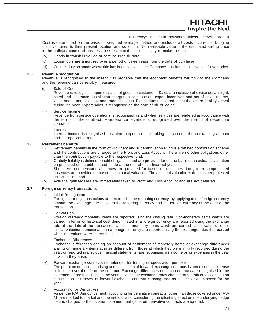Cost is determined on the basis of weighted average method and includes all costs incurred in bringing the inventories to their present location and condition. Net realisable value is the estimated selling price in the ordinary course of business, less estimated cost necessary to make the sale.

- (iv) Goods in transit is valued at cost incurred till date.
- (v) Loose tools are amortised over a period of three years from the date of purchase.
- (vi) Custom duty on goods where title has been passed to the Company is included in the value of inventories.

#### **2.5 Revenue recognition**

Revenue is recognised to the extent it is probable that the economic benefits will flow to the Company and the revenue can be reliably measured.

(i) Sale of Goods

Revenue is recognised upon dispatch of goods to customers. Sales are inclusive of excise duty, freight, octroi and insurance, installation charges in some cases, export incentives and net of sales returns, value-added tax, sales tax and trade discounts. Excise duty recovered is not the entire liability arised during the year. Export sales is recognised on the date of bill of lading.

(ii) Service Income

Revenue from service operations is recognised as and when services are rendered in accordance with the terms of the contract. Maintenance revenue is recognised over the period of respective contracts.

(iii) Interest

Interest Income is recognised on a time proportion basis taking into account the outstanding amount and the applicable rate.

#### **2.6 Retirement benefits**

- (i) Retirement benefits in the form of Provident and superannuation Fund is a defined contribution scheme and the contributions are charged to the Profit and Loss Account. There are no other obligations other than the contribution payable to the respective fund.
- (ii) Gratuity liability is defined benefit obligations and are provided for on the basis of an actuarial valuation on projected unit credit method made at the end of each financial year.
- (iii) Short term compensated absences are provided for based on estimates. Long term compensated absences are provided for based on actuarial valuation. The actuarial valuation is done as per projected unit credit method.
- (iv) Actuarial gains/losses are immediately taken to Profit and Loss Account and are not deferred.

#### **2.7 Foreign currency transactions**

(i) Initial Recognition

Foreign currency transactions are recorded in the reporting currency, by applying to the foreign currency amount the exchange rate between the reporting currency and the foreign currency at the date of the transaction.

(ii) Conversion

Foreign currency monetary items are reported using the closing rate. Non-monetary items which are carried in terms of historical cost denominated in a foreign currency are reported using the exchange rate at the date of the transaction; and non-monetary items which are carried at fair value or other similar valuation denominated in a foreign currency are reported using the exchange rates that existed when the values were determined.

(iii) Exchange Differences

Exchange differences arising on account of settlement of monetary items or exchange differences arising on monetary items at rates different from those at which they were initially recorded during the year, or reported in previous financial statements, are recognised as income or as expenses in the year in which they arise.

(iv) Forward exchange contracts not intended for trading or speculation purpose

The premium or discount arising at the inception of forward exchange contracts is amortised as expense or income over the life of the contract. Exchange differences on such contracts are recognised in the statement of profit and loss in the year in which the exchange rates change. Any profit or loss arising on cancellation or renewal of forward exchange contract is recognised as income or as expense for the year.

#### (v) Accounting for Derivatives

As per the ICAI Announcement, accounting for derivative contracts, other than those covered under AS-11, are marked to market and the net loss after considering the offsetting effect on the underlying hedge item is charged to the income statement, net gains on derivative contracts are ignored.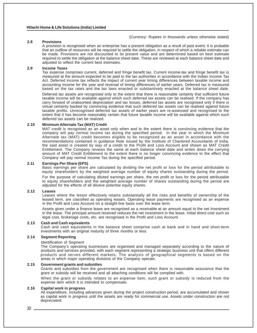# **2.8 Provisions**

A provision is recognised when an enterprise has a present obligation as a result of past event; it is probable that an outflow of resources will be required to settle the obligation, in respect of which a reliable estimate can be made. Provisions are not discounted to its present value and are determined based on best estimate required to settle the obligation at the balance sheet date. These are reviewed at each balance sheet date and adjusted to reflect the current best estimates.

#### **2.9 Income Taxes**

Tax expense comprises current, deferred and fringe benefit tax. Current income-tax and fringe benefit tax is measured at the amount expected to be paid to the tax authorities in accordance with the Indian Income Tax Act. Deferred income tax reflects the impact of current year timing differences between taxable income and accounting income for the year and reversal of timing differences of earlier years. Deferred tax is measured based on the tax rates and the tax laws enacted or substantively enacted at the balance sheet date.

Deferred tax assets are recognised only to the extent that there is reasonable certainty that sufficient future taxable income will be available against which such deferred tax assets can be realised. If the company has carry forward of unabsorbed depreciation and tax losses, deferred tax assets are recognised only if there is virtual certainty backed by convincing evidence that such deferred tax assets can be realised against future taxable profits. Unrecognised deferred tax assets of earlier years are re-assessed and recognised to the extent that it has become reasonably certain that future taxable income will be available against which such deferred tax assets can be realized.

#### **2.10 Minimum Alternate Tax (MAT) Credit**

MAT credit is recognised as an asset only when and to the extent there is convincing evidence that the company will pay normal income tax during the specified period. In the year in which the Minimum Alternate tax (MAT) credit becomes eligible to be recognized as an asset in accordance with the recommendations contained in guidance Note issued by the Institute of Chartered Accountants of India, the said asset is created by way of a credit to the Profit and Loss Account and shown as MAT Credit Entitlement. The Company reviews the same at each balance sheet date and writes down the carrying amount of MAT Credit Entitlement to the extent there is no longer convincing evidence to the effect that Company will pay normal Income Tax during the specified period.

#### **2.11 Earnings Per Share (EPS)**

Basic earnings per share are calculated by dividing the net profit or loss for the period attributable to equity shareholders by the weighted average number of equity shares outstanding during the period.

For the purpose of calculating diluted earnings per share, the net profit or loss for the period attributable to equity shareholders and the weighted average number of shares outstanding during the period are adjusted for the effects of all dilutive potential equity shares.

#### **2.12 Leases**

Leases where the lessor effectively retains substantially all the risks and benefits of ownership of the leased term, are classified as operating leases. Operating lease payments are recognised as an expense in the Profit and Loss Account on a straight-line basis over the lease term.

Assets given under a finance lease are recognised as a receivable at an amount equal to the net investment in the lease. The principal amount received reduces the net investment in the lease. Initial direct cost such as legal cost, brokerage costs, etc. are recognised in the Profit and Loss Account.

#### **2.13 Cash and Cash equivalents**

Cash and cash equivalents in the balance sheet comprise cash at bank and in hand and short-term investments with an original maturity of three months or less.

#### **2.14 Segment Reporting**

#### Identification of Segment

The Company's operating businesses are organised and managed separately according to the nature of products and services provided, with each segment representing a strategic business unit that offers different products and serves different markets. The analysis of geographical segments is based on the areas in which major operating divisions of the Company operate.

#### **2.15 Government grants and subsidies**

Grants and subsidies from the government are recognised when there is reasonable assurance that the grant or subsidy will be received and all attaching conditions will be complied with.

When the grant or subsidy relates to an expense item, such grant or subsidy is reduced from the expense item which it is intended to compensate.

#### **2.16 Capital work in progress**

All expenditure, including advances given during the project construction period, are accumulated and shown as capital work in progress until the assets are ready for commercial use. Assets under construction are not depreciated.

32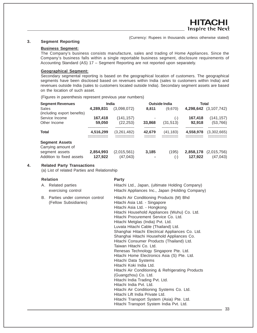# **3. Segment Reporting**

# **Business Segment:**

The Company's business consists manufacture, sales and trading of Home Appliances. Since the Company's business falls within a single reportable business segment, disclosure requirements of Accounting Standard (AS) 17 – Segment Reporting are not reported upon separately.

## **Geographical Segment:**

Secondary segmental reporting is based on the geographical location of customers. The geographical segments have been disclosed based on revenues within India (sales to customers within India) and revenues outside India (sales to customers located outside India). Secondary segment assets are based on the location of such asset.

(Figures in parenthesis represent previous year numbers)

| <b>Segment Revenues</b>                     | <b>India</b> |             |        | <b>Outside India</b> | Total     |                       |
|---------------------------------------------|--------------|-------------|--------|----------------------|-----------|-----------------------|
| Sales                                       | 4,289,831    | (3.098.072) | 8.811  | (9,670)              |           | 4,298,642 (3,107,742) |
| (including export benefits)                 |              |             |        |                      |           |                       |
| Service Income                              | 167,418      | (141, 157)  |        | $(-)$                | 167,418   | (141, 157)            |
| Other Income                                | 59,050       | (22, 253)   | 33,868 | (31, 513)            | 92,918    | (53, 766)             |
| <b>Total</b>                                | 4,516,299    | (3,261,482) | 42,679 | (41, 183)            | 4,558,978 | (3,302,665)           |
| <b>Segment Assets</b><br>Carrying amount of |              |             |        |                      |           |                       |
| segment assets                              | 2,854,993    | (2,015,561) | 3,185  | (195)                | 2,858,178 | (2,015,756)           |
| Addition to fixed assets                    | 127,922      | (47, 043)   |        | $(\textnormal{-})$   | 127,922   | (47, 043)             |

### **4. Related Party Transactions**

(a) List of related Parties and Relationship

|    | <b>Relation</b>                                       | <b>Party</b>                                                                                                                                                                                                                                                                                                                                                                                                                                                                                                                                                                                                                                                                                                                                                                                                                                                                                                            |
|----|-------------------------------------------------------|-------------------------------------------------------------------------------------------------------------------------------------------------------------------------------------------------------------------------------------------------------------------------------------------------------------------------------------------------------------------------------------------------------------------------------------------------------------------------------------------------------------------------------------------------------------------------------------------------------------------------------------------------------------------------------------------------------------------------------------------------------------------------------------------------------------------------------------------------------------------------------------------------------------------------|
| А. | Related parties<br>exercising control                 | Hitachi Ltd., Japan, (ultimate Holding Company)<br>Hitachi Appliances Inc., Japan (Holding Company)                                                                                                                                                                                                                                                                                                                                                                                                                                                                                                                                                                                                                                                                                                                                                                                                                     |
| В. | Parties under common control<br>(Fellow Subsidiaries) | Hitachi Air Conditioning Products (M) Bhd<br>Hitachi Asia Ltd. - Singapore<br>Hitachi Asia Ltd. - Hongkong<br>Hitachi Household Appliances (Wuhu) Co. Ltd.<br>Hitachi Procurement Service Co. Ltd.<br>Hitachi Metglas (India) Pvt. Ltd.<br>Luvata Hitachi Cable (Thailand) Ltd.<br>Shanghai Hitachi Electrical Appliances Co. Ltd.<br>Shanghai Hitachi Household Appliances Co.<br>Hitachi Consumer Products (Thailand) Ltd.<br>Taiwan Hitachi Co. Ltd.<br>Renesas Technology Singapore Pte. Ltd.<br>Hitachi Home Electronics Asia (S) Pte. Ltd.<br>Hitachi Data Systems<br>Hitachi Koki India Ltd.<br>Hitachi Air Conditioning & Refrigerating Products<br>(Guangzhou) Co. Ltd.<br>Hitachi India Trading Pvt. Ltd.<br>Hitachi India Pvt. Ltd.<br>Hitachi Air Conditioning Systems Co. Ltd.<br>Hitachi Lift India Private Ltd.<br>Hitachi Transport System (Asia) Pte. Ltd.<br>Hitachi Transport System India Pvt. Ltd. |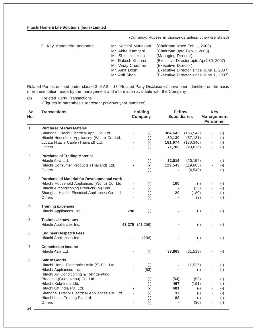|  | C. Key Managerial personnel |  |
|--|-----------------------------|--|
|  |                             |  |

| C. Key Managerial personnel | Mr. Kenichi Munakata | (Chairman since Feb 1, 2008)             |
|-----------------------------|----------------------|------------------------------------------|
|                             | Mr. Akira Kamitani   | (Chairman upto Feb 1, 2008)              |
|                             | Mr. Shinichi lizuka  | (Managing Director)                      |
|                             | Mr. Rakesh Khanna    | (Executive Director upto April 30, 2007) |
|                             | Mr. Vinay Chauhan    | (Executive Director)                     |
|                             | Mr. Amit Doshi       | (Executive Director since June 1, 2007)  |
|                             | Mr. Anil Shah        | (Executive Director since June 1, 2007)  |

Related Parties defined under clause 3 of AS – 18 "Related Party Disclosures" have been identified on the basis of representation made by the management and information available with the Company.

(b) Related Party Transactions (Figures in parenthesis represent previous year numbers)

| Sr.<br>No.   | <b>Transactions</b>                                                                                                                                                                                                |                            | <b>Holding</b><br>Company                          | <b>Fellow</b><br><b>Subsidiaries</b> |                                                  | <b>Key</b><br><b>Management</b><br><b>Personnel</b>                                                      |                                                    |
|--------------|--------------------------------------------------------------------------------------------------------------------------------------------------------------------------------------------------------------------|----------------------------|----------------------------------------------------|--------------------------------------|--------------------------------------------------|----------------------------------------------------------------------------------------------------------|----------------------------------------------------|
| $\mathbf{1}$ | <b>Purchase of Raw Material</b><br>Shanghai Hitachi Electrical Appl. Co. Ltd.                                                                                                                                      |                            | $(-)$                                              | 384,642                              | (186, 542)                                       | $\overline{\phantom{0}}$                                                                                 | $(-)$                                              |
|              | Hitachi Household Appliances (Wuhu) Co. Ltd.<br>Luvata Hitachi Cable (Thailand) Ltd.<br>Others                                                                                                                     |                            | $(-)$<br>$(-)$<br>$(-)$                            | 89,130<br>181,974<br>71,703          | (57, 131)<br>(130, 340)<br>(20, 826)             | ÷,                                                                                                       | $(-)$<br>$(-)$<br>$(-)$                            |
| $\mathbf{2}$ | <b>Purchase of Trading Material</b><br>Hitachi Asia Ltd.<br>Hitachi Consumer Products (Thailand) Ltd.<br><b>Others</b>                                                                                             | ä,                         | $(-)$<br>$(-)$<br>$(-)$                            | 32,016<br>129,543                    | (20, 159)<br>(119, 683)<br>(4, 540)              | ÷,<br>$\blacksquare$                                                                                     | $(-)$<br>$(-)$<br>$(-)$                            |
| 3            | <b>Purchase of Material for Developmental work</b><br>Hitachi Household Appliances (Wuhu) Co. Ltd.<br>Hitachi Airconditioning Products (M) Bhd<br>Shanghai Hitachi Electrical Appliances Co. Ltd.<br><b>Others</b> | ÷,                         | $(\text{-})$<br>$(-)$<br>$(-)$<br>$(-)$            | 100<br>20                            | $(-)$<br>(32)<br>(180)<br>(3)                    | $\overline{\phantom{m}}$<br>$\frac{1}{2}$<br>$\overline{\phantom{0}}$<br>÷,                              | $(\cdot)$<br>$(-)$<br>$(-)$<br>$(-)$               |
| 4            | <b>Training Expenses</b><br>Hitachi Appliances Inc.                                                                                                                                                                | 290                        | $(-)$                                              |                                      | $(-)$                                            | Ĭ.                                                                                                       | $(-)$                                              |
| 5            | <b>Technical know-how</b><br>Hitachi Appliances Inc.                                                                                                                                                               |                            | 43,275 (41,256)                                    |                                      | $(-)$                                            |                                                                                                          | $(-)$                                              |
| 6            | <b>Engineer Despatch Fees</b><br>Hitachi Appliances Inc.                                                                                                                                                           |                            | (208)                                              |                                      | $(-)$                                            |                                                                                                          | $(-)$                                              |
| 7            | <b>Commission Income</b><br>Hitachi Asia Ltd.                                                                                                                                                                      |                            | $(-)$                                              | 33,868                               | (31, 513)                                        |                                                                                                          | $(-)$                                              |
| 8            | Sale of Goods<br>Hitachi Home Electronics Asia (S) Pte. Ltd.<br>Hitachi Appliances Inc.<br>Hitachi Air Conditioning & Refrigerating                                                                                | ÷,                         | $(-)$<br>(53)                                      |                                      | (1,525)<br>$(-)$                                 | Ĭ.                                                                                                       | $(-)$<br>$(-)$                                     |
|              | Products (Guangzhou) Co. Ltd.<br>Hitachi Koki India Ltd.<br>Hitachi Lift India Pyt. Ltd.<br>Shanghai Hitachi Electrical Appliances Co. Ltd.<br>Hitachi India Trading Pvt. Ltd.<br><b>Others</b>                    | L,<br>L,<br>L,<br>ä,<br>ä, | $(-)$<br>$(-)$<br>$(-)$<br>$(-)$<br>$(-)$<br>$(-)$ | (53)<br>467<br>681<br>37<br>88       | (53)<br>(191)<br>$(-)$<br>$(-)$<br>$(-)$<br>(30) | $\overline{\phantom{0}}$<br>$\overline{\phantom{0}}$<br>$\blacksquare$<br>ä,<br>$\overline{\phantom{0}}$ | $(-)$<br>$(-)$<br>$(-)$<br>$(-)$<br>$(-)$<br>$(-)$ |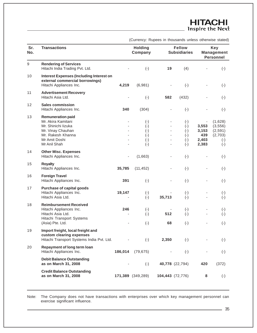| Sr.<br>No.       | <b>Transactions</b>                                                                                                                              |         | <b>Holding</b><br>Company                                 |                          | <b>Fellow</b><br><b>Subsidiaries</b>                       |                                                                     | <b>Key</b><br><b>Management</b><br><b>Personnel</b>                      |
|------------------|--------------------------------------------------------------------------------------------------------------------------------------------------|---------|-----------------------------------------------------------|--------------------------|------------------------------------------------------------|---------------------------------------------------------------------|--------------------------------------------------------------------------|
| $\boldsymbol{9}$ | <b>Rendering of Services</b><br>Hitachi India Trading Pvt. Ltd.                                                                                  |         | $(-)$                                                     | 19                       | (4)                                                        |                                                                     | $(-)$                                                                    |
| 10               | <b>Interest Expenses (Including Interest on</b><br>external commercial borrowings)<br>Hitachi Appliances Inc.                                    | 4,219   | (6,981)                                                   |                          | $(-)$                                                      |                                                                     | $(-)$                                                                    |
| 11               | <b>Advertisement Recovery</b><br>Hitachi Asia Ltd.                                                                                               |         | $(-)$                                                     | 582                      | (432)                                                      |                                                                     | $(-)$                                                                    |
| 12               | <b>Sales commission</b><br>Hitachi Appliances Inc.                                                                                               | 340     | (304)                                                     | ÷,                       | $(-)$                                                      |                                                                     | $(-)$                                                                    |
| 13               | <b>Remuneration paid</b><br>Mr. Akira Kamitani<br>Mr. Shinichi lizuka<br>Mr. Vinay Chauhan<br>Mr. Rakesh Khanna<br>Mr Amit Doshi<br>Mr Anil Shah |         | $(-)$<br>$(-)$<br>$(-)$<br>$(-)$<br>$(\text{-})$<br>$(-)$ | -                        | $(\cdot)$<br>$(-)$<br>$(-)$<br>$(\cdot)$<br>$(-)$<br>$(-)$ | $\overline{\phantom{a}}$<br>3,553<br>3,153<br>439<br>2,403<br>2,383 | (1,628)<br>(3, 556)<br>(2,591)<br>(2,703)<br>$(\textnormal{-})$<br>$(-)$ |
| 14               | <b>Other Misc. Expenses</b><br>Hitachi Appliances Inc.                                                                                           |         | (1,663)                                                   |                          | $(-)$                                                      |                                                                     | $(-)$                                                                    |
| 15               | <b>Royalty</b><br>Hitachi Appliances Inc.                                                                                                        | 35,785  | (11, 452)                                                 |                          | $(-)$                                                      |                                                                     | $(-)$                                                                    |
| 16               | <b>Foreign Travel</b><br>Hitachi Appliances Inc.                                                                                                 | 391     | $(-)$                                                     |                          | $(-)$                                                      |                                                                     | $(-)$                                                                    |
| 17               | <b>Purchase of capital goods</b><br>Hitachi Appliances Inc.<br>Hitachi Asia Ltd.                                                                 | 19,147  | $(\textnormal{-})$<br>$(-)$                               | 35,713                   | $(\text{-})$<br>$(-)$                                      |                                                                     | $(\text{-})$<br>$(-)$                                                    |
| 18               | <b>Reimbursement Received</b><br>Hitachi Appliances Inc.<br>Hitachi Asia Ltd.<br>Hitachi Transport Systems<br>(Asia) Pte. Ltd.                   | 246     | $(-)$<br>$(-)$<br>$(-)$                                   | 512<br>68                | $(\text{-})$<br>$(-)$<br>$(-)$                             |                                                                     | $(\text{-})$<br>$(-)$<br>$(-)$                                           |
| 19               | Import freight, local freight and<br>custom clearing expenses<br>Hitachi Transport Systems India Pvt. Ltd.                                       |         | $(-)$                                                     | 2,350                    | $(-)$                                                      |                                                                     | $(-)$                                                                    |
| 20               | Repayment of long term loan<br>Hitachi Appliances Inc.                                                                                           | 186,014 | (79, 675)                                                 | $\overline{\phantom{a}}$ | $(-)$                                                      |                                                                     | $(-)$                                                                    |
|                  | <b>Debit Balance Outstanding</b><br>as on March 31, 2008                                                                                         |         | $(-)$                                                     |                          | 40,778 (22,794)                                            | 420                                                                 | (372)                                                                    |
|                  | <b>Credit Balance Outstanding</b><br>as on March 31, 2008                                                                                        |         | 171,389 (349,289)                                         |                          | 104,443 (72,776)                                           | 8                                                                   | $(\text{-})$                                                             |

Note: The Company does not have transactions with enterprises over which key management personnel can exercise significant influence.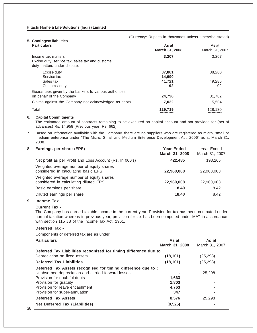| 5. Contingent liabilities                              |                |                       |
|--------------------------------------------------------|----------------|-----------------------|
| <b>Particulars</b>                                     | As at          | As at                 |
|                                                        | March 31, 2008 | March 31, 2007        |
| Income tax matters                                     | 3,207          | 3,207                 |
| Excise duty, service tax, sales tax and customs        |                |                       |
| duty matters under dispute:                            |                |                       |
| Excise duty                                            | 37,881         | 38,260                |
| Service tax                                            | 14,990         |                       |
| Sales tax                                              | 41,721         | 49.285                |
| Customs duty                                           | 92             | 92                    |
| Guarantees given by the bankers to various authorities |                |                       |
| on behalf of the Company                               | 24,796         | 31,782                |
| Claims against the Company not acknowledged as debts   | 7,032          | 5.504                 |
| Total                                                  | <br>129.719    | ----------<br>128,130 |
|                                                        |                |                       |

#### 6. Capital Commitments

The estimated amount of contracts remaining to be executed on capital account and not provided for (net of advances) Rs. 14,958 (Previous year: Rs. 662).

**7.** Based on information available with the Company, there are no suppliers who are registered as micro, small or medium enterprise under "The Micro, Small and Medium Enterprise Development Act, 2006" as at March 31, 2008.

# **8. Earnings per share (EPS) Year Ended** Year Ended **March 31, 2008** March 31, 2007 Net profit as per Profit and Loss Account (Rs. In 000's) **422,485** 193,265 Weighted average number of equity shares considered in calculating basic EPS **22,960,008** 22,960,008 Weighted average number of equity shares considered in calculating diluted EPS **22,960,008** 22,960,008 Basic earnings per share **18.40** 8.42 Diluted earnings per share **18.40** 8.42

# **9. Income Tax**

#### **Current Tax -**

The Company has earned taxable income in the current year. Provision for tax has been computed under normal taxation whereas in previous year, provision for tax has been computed under MAT in accordance with section 115 JB of the Income Tax Act, 1961.

#### **Deferred Tax -**

Components of deferred tax are as under:

| As at                                                              | As at          |
|--------------------------------------------------------------------|----------------|
| March 31, 2008                                                     | March 31, 2007 |
| Deferred Tax Liabilities recognised for timing difference due to : |                |
| (18, 101)                                                          | (25, 298)      |
| (18, 101)                                                          | (25, 298)      |
| Deferred Tax Assets recognised for timing difference due to :      |                |
|                                                                    | 25.298         |
| 1,663                                                              |                |
| 1,803                                                              |                |
| 4.763                                                              |                |
| 347                                                                |                |
| 8.576                                                              | 25.298         |
| (9, 525)                                                           |                |
|                                                                    |                |

(Currency: Rupees in thousands unless otherwise stated)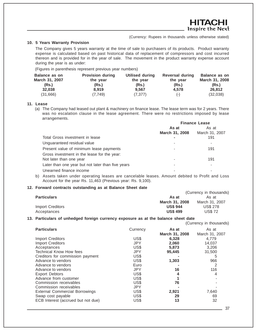# **10. 5 Years Warranty Provision**

The Company gives 5 years warranty at the time of sale to purchasers of its products. Product warranty expense is calculated based on past historical data of replacement of compressors and cost incurred thereon and is provided for in the year of sale. The movement in the product warranty expense account during the year is as under:

(Figures in parenthesis represent previous year numbers)

| Balance as on<br>March 31, 2007 | <b>Provision during</b><br>the year | Utilised during<br>the year | <b>Reversal during</b><br>the year | <b>Balance as on</b><br>March 31, 2008 |
|---------------------------------|-------------------------------------|-----------------------------|------------------------------------|----------------------------------------|
| (Rs.)                           | (Rs.)                               | (Rs.)                       | (Rs.)                              | (Rs.)                                  |
| 32.038                          | 8.919                               | 9.567                       | 4.578                              | 26,812                                 |
| (31,666)                        | (7.749)                             | (7, 377)                    | $(-)$                              | (32,038)                               |

# **11. Lease**

(a) The Company had leased out plant & machinery on finance lease. The lease term was for 2 years. There was no escalation clause in the lease agreement. There were no restrictions imposed by lease arrangements.

|                                                   | <b>Finance Lease</b> |                |  |
|---------------------------------------------------|----------------------|----------------|--|
|                                                   | As at                | As at          |  |
|                                                   | March 31, 2008       | March 31, 2007 |  |
| Total Gross investment in lease                   |                      | 191            |  |
| Unguaranteed residual value                       |                      |                |  |
| Present value of minimum lease payments           |                      | 191            |  |
| Gross investment in the lease for the year:       |                      |                |  |
| Not later than one year                           |                      | 191            |  |
| Later than one year but not later than five years |                      |                |  |
| Unearned finance income                           |                      |                |  |

b) Assets taken under operating leases are cancelable leases. Amount debited to Profit and Loss Account for the year Rs. 11,463 (Previous year: Rs. 9,100).

#### **12. Forward contracts outstanding as at Balance Sheet date**

|                    |                 | (Currency in thousands) |
|--------------------|-----------------|-------------------------|
| <b>Particulars</b> | As at           | As at                   |
|                    | March 31, 2008  | March 31, 2007          |
| Import Creditors   | <b>US\$ 944</b> | <b>US\$ 278</b>         |
| Acceptances        | <b>US\$ 499</b> | <b>US\$72</b>           |

#### **13. Particulars of unhedged foreign currency exposure as at the balance sheet date**

|                                       |            |                | (Currency in thousands) |
|---------------------------------------|------------|----------------|-------------------------|
| <b>Particulars</b>                    | Currency   | As at          | As at                   |
|                                       |            | March 31, 2008 | March 31, 2007          |
| <b>Import Creditors</b>               | US\$       | 6,328          | 4.779                   |
| <b>Import Creditors</b>               | <b>JPY</b> | 2,060          | 14,037                  |
| Acceptances                           | US\$       | 5,873          | 3,206                   |
| Technical Know How fees               | <b>JPY</b> | 95,445         | 31,500                  |
| Creditors for commission payment      | US\$       |                | 5                       |
| Advance to vendors                    | US\$       | 1,303          | 966                     |
| Advance to vendors                    | Euro       |                | 2                       |
| Advance to vendors                    | <b>JPY</b> | 16             | 116                     |
| <b>Export Debtors</b>                 | US\$       | 4              | 4                       |
| Advance from customer                 | US\$       |                |                         |
| Commission receivables                | US\$       | 76             |                         |
| Commission receivables                | <b>JPY</b> |                |                         |
| <b>External Commercial Borrowings</b> | US\$       | 2,921          | 7,640                   |
| Swap cost payable                     | US\$       | 29             | 69                      |
| ECB Interest (accrued but not due)    | US\$       | 13             | 32                      |
|                                       |            |                |                         |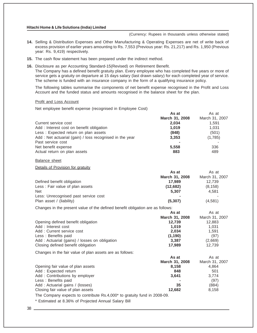(Currency: Rupees in thousands unless otherwise stated)

- **14.** Selling & Distribution Expenses and Other Manufacturing & Operating Expenses are net of write back of excess provision of earlier years amounting to Rs. 7,553 (Previous year: Rs. 21,217) and Rs. 1,950 (Previous year: Rs. 9,419) respectively.
- **15.** The cash flow statement has been prepared under the indirect method.
- **16.** Disclosure as per Accounting Standard-15(Revised) on Retirement Benefit. The Company has a defined benefit gratuity plan. Every employee who has completed five years or more of service gets a gratuity on departure at 15 days salary (last drawn salary) for each completed year of service. The scheme is funded with an insurance company in the form of a qualifying insurance policy.

The following tables summarise the components of net benefit expense recognised in the Profit and Loss Account and the funded status and amounts recognised in the balance sheet for the plan.

### Profit and Loss Account

Net employee benefit expense (recognised in Employee Cost)

| As at          | As at          |
|----------------|----------------|
| March 31, 2008 | March 31, 2007 |
| 2,034          | 1.591          |
| 1.019          | 1,031          |
| (848)          | (501)          |
| 3,353          | (1,785)        |
|                |                |
| 5,558          | 336            |
| 883            | 489            |
|                |                |

Balance sheet

#### Details of Provision for gratuity

|                                      | As at          | As at          |
|--------------------------------------|----------------|----------------|
|                                      | March 31, 2008 | March 31, 2007 |
| Defined benefit obligation           | 17.989         | 12.739         |
| Less: Fair value of plan assets      | (12,682)       | (8, 158)       |
| <b>Net</b>                           | 5.307          | 4.581          |
| Less: Unrecognised past service cost | -              |                |
| Plan asset / (liability)             | (5, 307)       | (4,581)        |

Changes in the present value of the defined benefit obligation are as follows:

|                                                          | As at          | As at          |
|----------------------------------------------------------|----------------|----------------|
|                                                          | March 31, 2008 | March 31, 2007 |
| Opening defined benefit obligation                       | 12.739         | 12,883         |
| Add: Interest cost                                       | 1.019          | 1.031          |
| Add: Current service cost                                | 2.034          | 1.591          |
| Less: Benefits paid                                      | (1, 190)       | (97)           |
| Add: Actuarial (gains) / losses on obligation            | 3,387          | (2,669)        |
| Closing defined benefit obligation                       | 17.989         | 12.739         |
| Changes in the fair value of plan assets are as follows: |                |                |

|                                   | As at          | As at          |
|-----------------------------------|----------------|----------------|
|                                   | March 31, 2008 | March 31, 2007 |
| Opening fair value of plan assets | 8.158          | 4.864          |
| Add: Expected return              | 848            | 501            |
| Add: Contributions by employer    | 3.641          | 3.774          |
| Less: Benefits paid               |                | (97)           |
| Add: Actuarial gains / (losses)   | 35             | (884)          |
| Closing fair value of plan assets | 12.682         | 8.158          |

The Company expects to contribute Rs.4,000\* to gratuity fund in 2008-09.

\* Estimated at 8.36% of Projected Annual Salary Bill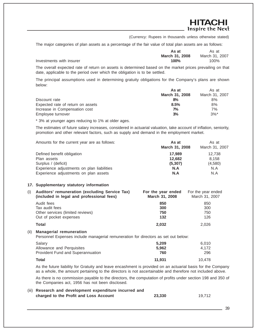HITACHI Inspire the Next

(Currency: Rupees in thousands unless otherwise stated)

The major categories of plan assets as a percentage of the fair value of total plan assets are as follows:

|                          | As at          | As at          |
|--------------------------|----------------|----------------|
|                          | March 31, 2008 | March 31, 2007 |
| Investments with insurer | 100%           | 100%           |

The overall expected rate of return on assets is determined based on the market prices prevailing on that date, applicable to the period over which the obligation is to be settled.

The principal assumptions used in determining gratuity obligations for the Company's plans are shown below:

|                                   | As at          | As at              |
|-----------------------------------|----------------|--------------------|
|                                   | March 31, 2008 | March 31, 2007     |
| Discount rate                     | 8%             | 8%                 |
| Expected rate of return on assets | 8.5%           | 8%                 |
| Increase in Compensation cost     | 7%             | 7%                 |
| Employee turnover                 | 3%             | $3\%$ <sup>*</sup> |

\* 3% at younger ages reducing to 1% at older ages.

The estimates of future salary increases, considered in actuarial valuation, take account of inflation, seniority, promotion and other relevant factors, such as supply and demand in the employment market.

| Amounts for the current year are as follows: | As at<br>March 31, 2008 | As at<br>March 31, 2007 |
|----------------------------------------------|-------------------------|-------------------------|
| Defined benefit obligation                   | 17.989                  | 12.738                  |
| Plan assets                                  | 12.682                  | 8,158                   |
| Surplus / (deficit)                          | (5, 307)                | (4,580)                 |
| Experience adjustments on plan liabilities   | N.A                     | N.A                     |
| Experience adjustments on plan assets        | N.A                     | N.A                     |

#### **17. Supplementary statutory information**

| (i) | Auditors' remuneration (excluding Service Tax)<br>(included in legal and professional fees) | For the year ended<br>March 31, 2008 | For the year ended<br>March 31, 2007 |
|-----|---------------------------------------------------------------------------------------------|--------------------------------------|--------------------------------------|
|     | Audit fees                                                                                  | 850                                  | 850                                  |
|     | Tax audit fees                                                                              | 300                                  | 300                                  |
|     | Other services (limited reviews)                                                            | 750                                  | 750                                  |
|     | Out of pocket expenses                                                                      | 132                                  | 126                                  |
|     | Total                                                                                       | 2.032                                | 2.026                                |
|     | (ii) Managerial remuneration                                                                |                                      |                                      |

Personnel Expenses include managerial remuneration for directors as set out below:

| Salary                            | 5.209  | 6.010  |
|-----------------------------------|--------|--------|
| Allowance and Perguisites         | 5.962  | 4.172  |
| Provident Fund and Superannuation | 760    | 296    |
| Total                             | 11.931 | 10.478 |

As the future liability for Gratuity and leave encashment is provided on an actuarial basis for the Company as a whole, the amount pertaining to the directors is not ascertainable and therefore not included above.

As there is no commission payable to the directors, the computation of profits under section 198 and 350 of the Companies act, 1956 has not been disclosed.

#### (iii) **Research and development expenditure incurred and**

| charged to the Profit and Loss Account | 23,330 | 19,712 |
|----------------------------------------|--------|--------|
|                                        |        |        |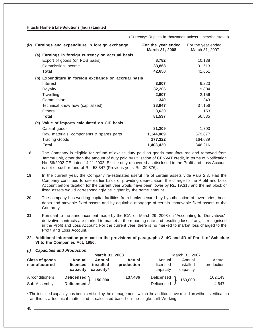(Currency: Rupees in thousands unless otherwise stated)

| (iv) | Earnings and expenditure in foreign exchange         | For the year ended<br>March 31, 2008 | For the year ended<br>March 31, 2007 |
|------|------------------------------------------------------|--------------------------------------|--------------------------------------|
|      | (a) Earnings in foreign currency on accrual basis    |                                      |                                      |
|      | Export of goods (on FOB basis)                       | 8,782                                | 10,138                               |
|      | Commission Income                                    | 33,868                               | 31,513                               |
|      | Total                                                | 42,650                               | 41,651                               |
|      | (b) Expenditure in foreign exchange on accrual basis |                                      |                                      |
|      | Interest                                             | 3,807                                | 6,223                                |
|      | Royalty                                              | 32,206                               | 9,804                                |
|      | Travelling                                           | 2,607                                | 2,156                                |
|      | Commission                                           | 340                                  | 343                                  |
|      | Technical know how (capitalised)                     | 38,947                               | 37,156                               |
|      | <b>Others</b>                                        | 3,630                                | 1,153                                |
|      | <b>Total</b>                                         | 81,537                               | 56,835                               |
|      | (c) Value of imports calculated on CIF basis         |                                      |                                      |
|      | Capital goods                                        | 81,209                               | 1,700                                |
|      | Raw materials, components & spares parts             | 1,144,889                            | 679,877                              |
|      | <b>Trading Goods</b>                                 | 177,322                              | 164,639                              |
|      | Total                                                | 1,403,420                            | 846,216                              |

**18.** The Company is eligible for refund of excise duty paid on goods manufactured and removed from Jammu unit, other than the amount of duty paid by utilisation of CENVAT credit, in terms of Notification No. 56/2002-CE dated 14-11-2002. Excise duty recovered as disclosed in the Profit and Loss Account is net of such refund of Rs. 58,347 (Previous year: Rs. 39,876).

**19.** In the current year, the Company re-estimated useful life of certain assets vide Para 2.3. Had the Company continued to use earlier basis of providing depreciation, the charge to the Profit and Loss Account before taxation for the current year would have been lower by Rs. 19,318 and the net block of fixed assets would correspondingly be higher by the same amount.

**20.** The company has working capital facilities from banks secured by hypothecation of inventories, book debts and movable fixed assets and by equitable mortgage of certain immovable fixed assets of the Company.

**21.** Pursuant to the announcement made by the ICAI on March 29, 2008 on "Accounting for Derivatives", derivative contracts are marked to market at the reporting date and resulting loss, if any, is recognised in the Profit and Loss Account. For the current year, there is no marked to market loss charged to the Profit and Loss Account.

- **22. Additional information pursuant to the provisions of paragraphs 3, 4C and 4D of Part II of Schedule VI to the Companies Act, 1956:**
- *(i) Capacities and Production* **March 31, 2008** March 31, 2007 **Class of goods Annual Annual Actual** Annual Annual Actual **manufactured licensed installed production** licensed installed production **capacity capacity\*** and capacity capacity capacity capacity capacity capacity capacity Airconditioners **Delicensed 150,000 137,436** Delicensed 150,000 102,143 Sub Assembly **Delicensed J Contract Contract Contract Contract Contract Contract Contract Contract Contract Contract Contract Contract Contract Contract Contract Contract Contract Contract Contract Contract Contract Cont**  $\left\{\n \begin{array}{ccc}\n 150,000 & 137,436 & \text{Delicensed} \\
 - & \text{Delicensed}\n \end{array}\n \right\}$

\* The installed capacity has been certified by the management, which the auditors have relied on without verification as this is a technical matter and is calculated based on the single shift Working.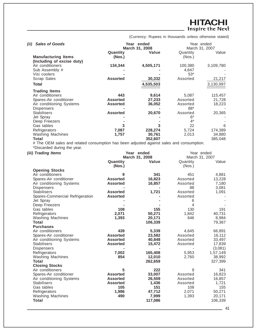# **HITACHI**<br>Inspire the Next

(Currency: Rupees in thousands unless otherwise stated)

| <b>Sales of Goods</b><br>(ii) |                 | Year ended     |          | Year ended     |
|-------------------------------|-----------------|----------------|----------|----------------|
|                               |                 | March 31, 2008 |          | March 31, 2007 |
|                               | Quantity        | Value          | Quantity | Value          |
| <b>Manufacturing Items</b>    | (Nos.)          |                | (Nos.)   |                |
| (Including of excise duty)    |                 |                |          |                |
| Air conditioners              | 134,344         | 4,505,171      | 100,380  | 3,109,780      |
| Sub Assembly #                |                 |                | 4,647    |                |
|                               |                 |                | $53*$    |                |
| Visi coolers                  |                 |                |          |                |
| Scrap Sales                   | <b>Assorted</b> | 30,332         | Assorted | 21,217         |
| Total                         |                 | 4,535,503      |          | 3,130,997      |
| <b>Trading Items</b>          |                 |                |          |                |
| Air conditioners              | 443             | 9,614          | 5,087    | 115,457        |
| Spares-Air conditioner        | <b>Assorted</b> | 27,233         | Assorted | 21,728         |
| Air conditioning Systems      | <b>Assorted</b> | 36,052         | Assorted | 18,223         |
| <b>Dispensers</b>             |                 |                | 88*      |                |
| <b>Stabilisers</b>            | <b>Assorted</b> | 20,670         | Assorted | 20,365         |
| Jet Spray                     |                 |                | 6*       |                |
| Deep Freezers                 |                 |                | $4^*$    |                |
| Gas tables                    | 3               | 3              | 22       | 6              |
| Refrigerators                 | 7,087           | 228,274        | 5,724    | 174,389        |
| <b>Washing Machines</b>       | 1,757           | 30,761         | 2,013    | 34,880         |
| Total                         |                 | 352,607        |          | 385,048        |

# The OEM sales and related consumption has been adjusted against sales and consumption. \*Discarded during the year.

| (iii) Trading Items             |                    | Year ended<br>March 31, 2008 | Year ended<br>March 31, 2007 |          |
|---------------------------------|--------------------|------------------------------|------------------------------|----------|
|                                 | Quantity<br>(Nos.) | Value                        | Quantity<br>(Nos.)           | Value    |
| <b>Opening Stocks</b>           |                    |                              |                              |          |
| Air conditioners                | 9                  | 341                          | 451                          | 4,881    |
| Spares-Air conditioner          | <b>Assorted</b>    | 16,823                       | Assorted                     | 13,228   |
| Air conditioning Systems        | <b>Assorted</b>    | 16,857                       | Assorted                     | 7,180    |
| Dispensers                      |                    |                              | 88                           | 3,081    |
| <b>Stabilisers</b>              | <b>Assorted</b>    | 1,721                        | Assorted                     | 1,091    |
| Spares-Commercial Refrigeration | <b>Assorted</b>    |                              | Assorted                     |          |
| Jet Spray                       |                    |                              | 6                            |          |
| Deep Freezers                   |                    |                              | 4                            |          |
| Gas tables                      | 108                | 155                          | 130                          | 191      |
| Refrigerators                   | 2,071              | 50,271                       | 1,842                        | 40,731   |
| <b>Washing Machines</b>         | 1,393              | 20,171                       | 646                          | 8,984    |
| <b>Total</b>                    |                    | 106,339                      |                              | 79,367   |
| <b>Purchases</b>                |                    |                              |                              |          |
| Air conditioners                | 439                | 5,339                        | 4,645                        | 66,891   |
| Spares-Air conditioner          | <b>Assorted</b>    | 23,582                       | Assorted                     | 16,112   |
| Air conditioning Systems        | <b>Assorted</b>    | 40,848                       | Assorted                     | 33,497   |
| <b>Stabilisers</b>              | <b>Assorted</b>    | 15,472                       | Assorted                     | 17,839   |
| Dispensers                      |                    |                              |                              | (3,081)  |
| Refrigerators                   | 7,002              | 165,408                      | 5,953                        | 1,57,149 |
| <b>Washing Machines</b>         | 854                | 12,010                       | 2,760                        | 38,992   |
| Total                           |                    | 262,659                      |                              | 327,399  |
| <b>Closing Stocks</b>           |                    |                              |                              |          |
| Air conditioners                | 5                  | 222                          | 9                            | 341      |
| Spares-Air conditioner          | <b>Assorted</b>    | 33,007                       | Assorted                     | 16,823   |
| Air conditioning Systems        | <b>Assorted</b>    | 26,559                       | Assorted                     | 16,857   |
| <b>Stabilisers</b>              | <b>Assorted</b>    | 1,436                        | Assorted                     | 1,721    |
| Gas tables                      | 105                | 151                          | 108                          | 155      |
| Refrigerators                   | 1,986              | 47,712                       | 2,071                        | 50,271   |
| <b>Washing Machines</b>         | 490                | 7,999                        | 1,393                        | 20,171   |
| <b>Total</b>                    |                    | 117,086                      |                              | 106,339  |
|                                 |                    |                              |                              |          |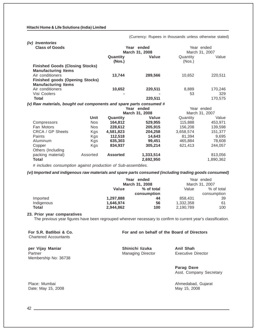*(iv) Inventories* **Class of Goods Year ended** Year ended **March 31, 2008** March 31, 2007 **Quantity Value** Quantity Value **(Nos.)** (Nos.) **Finished Goods (Closing Stocks) Manufacturing Items** Air conditioners **13,744 289,566** 10,652 220,511 **Finished goods (Opening Stocks) Manufacturing Items** Air conditioners **10,652 220,511** 8,889 170,246 Visi Coolers **- -** 53 329 **Total 220,511** 170,575 *(v) Raw materials, bought out components and spare parts consumed #* **Year ended Year ended**<br>**March 31, 2008 March 31, 2007 March 31, 2008 Unit Quantity Value Quantity** Value Compressors Nos **164,812 529,955** 115,888 453,971 Fan Motors Nos **228,612 205,915** 156,208 139,598 CRCA / GP Sheets Kgs **4,581,823 204,258** 3,658,574 151,377 Paints Kgs **112,518 14,643** 81,394 9,695 Aluminum Kgs **635,303 99,451** 465,884 78,608 Copper Kgs **834,937 305,214** 621,413 244,057 Others (Including packing material) Assorted **Assorted 1,333,514** 813,056 **Total 2,692,950** 1,890,362

*# includes consumption against production of Sub-assemblies.*

*(vi) Imported and indigenous raw materials and spare parts consumed (including trading goods consumed)*

|            | Year           | ended       |                | Year ended  |
|------------|----------------|-------------|----------------|-------------|
|            | March 31, 2008 |             | March 31, 2007 |             |
|            | Value          | % of total  | Value          | % of total  |
|            |                | consumption |                | consumption |
| Imported   | 1,297,888      | 44          | 858,431        | 39          |
| Indigenous | 1.646.974      | 56          | 1,332,358      | 61          |
| Total      | 2,944,862      | 100         | 2,190,789      | 100         |

#### **23. Prior year comparatives**

The previous year figures have been regrouped wherever necessary to confirm to current year's classification.

**For S.R. Batliboi & Co. For and on behalf of the Board of Directors**

(Currency: Rupees in thousands unless otherwise stated)

Chartered Accountants

**per Vijay Maniar Shinichi Iizuka Anil Shah** Partner **Managing Director** Executive Director **Executive Director Partner** Membership No: 36738

**Parag Dave** Asst. Company Secretary

Place: Mumbai Ahmedabad, Gujarat Ahmedabad, Gujarat Ahmedabad, Gujarat Ahmedabad, Gujarat Ahmedabad, Gujarat Ahmedabad, Gujarat Ahmedabad, Gujarat Ahmedabad, Gujarat Ahmedabad, Gujarat Ahmedabad, Gujarat Ahmedabad, Gujarat

Date: May 15, 2008 May 15, 2008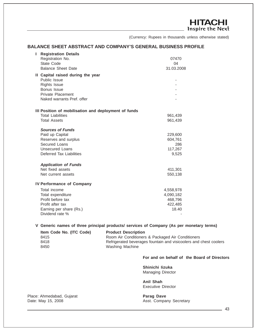**HITACHI** Inspire the Next

(Currency: Rupees in thousands unless otherwise stated)

# **BALANCE SHEET ABSTRACT AND COMPANY'S GENERAL BUSINESS PROFILE**

| <b>Registration Details</b>                          |            |
|------------------------------------------------------|------------|
| Registration No.                                     | 07470      |
| <b>State Code</b>                                    | 04         |
| <b>Balance Sheet Date</b>                            | 31.03.2008 |
| II Capital raised during the year                    |            |
| Public Issue                                         |            |
| Rights Issue                                         |            |
| Bonus Issue                                          |            |
| <b>Private Placement</b>                             |            |
| Naked warrants Pref. offer                           |            |
| III Position of mobilisation and deployment of funds |            |
| <b>Total Liabilities</b>                             | 961,439    |
| <b>Total Assets</b>                                  | 961,439    |
|                                                      |            |
| <b>Sources of Funds</b>                              |            |
| Paid up Capital                                      | 229,600    |
| Reserves and surplus                                 | 604,761    |
| Secured Loans                                        | 286        |
| <b>Unsecured Loans</b>                               | 117,267    |
| Deferred Tax Liabilities                             | 9,525      |
| <b>Application of Funds</b>                          |            |
| Net fixed assets                                     | 411,301    |
| Net current assets                                   | 550,138    |
|                                                      |            |
| <b>IV Performance of Company</b>                     |            |
| Total income                                         | 4,558,978  |
| Total expenditure                                    | 4,090,182  |
| Profit before tax                                    | 468,796    |
| Profit after tax                                     | 422,485    |
| Earning per share (Rs.)                              | 18.40      |
| Dividend rate %                                      |            |

**V Generic names of three principal products/ services of Company (As per monetary terms)**

| Item Code No. (ITC Code) | <b>Product Description</b>                                        |
|--------------------------|-------------------------------------------------------------------|
| 8415                     | Room Air Conditioners & Packaged Air Conditioners                 |
| 8418                     | Refrigerated beverages fountain and visicoolers and chest coolers |
| 8450                     | Washing Machine                                                   |

# **For and on behalf of the Board of Directors**

**Shinichi Iizuka** Managing Director

**Anil Shah** Executive Director

Place: Ahmedabad, Gujarat **Parag Dave Parag Dave** Date: May 15, 2008 **Asst. Company Secretary**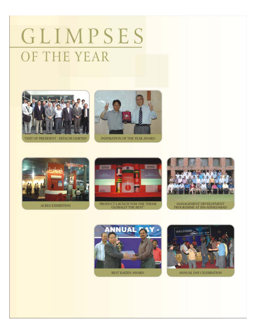# GLIMPSES OF THE YEAR



VISIT OF PRESIDENT - HITACHI LIMITED



INSPIRATION OF THE YEAR AWARD



**ACREX EXHIBITION** 







PROGRAMME AT IIM-AHMEDABAD



BEST KAIZEN AWARD



ANNUAL DAY CELEBRATION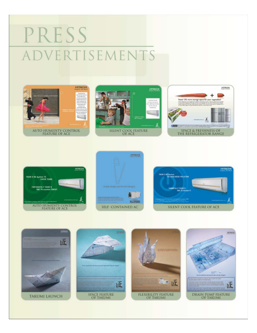# PRESS ADVERTISEMENTS













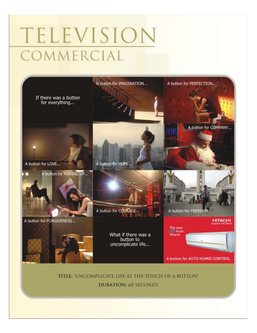# TELEVISION COMMERCIAL



**DURATION: 60 SECONDS**